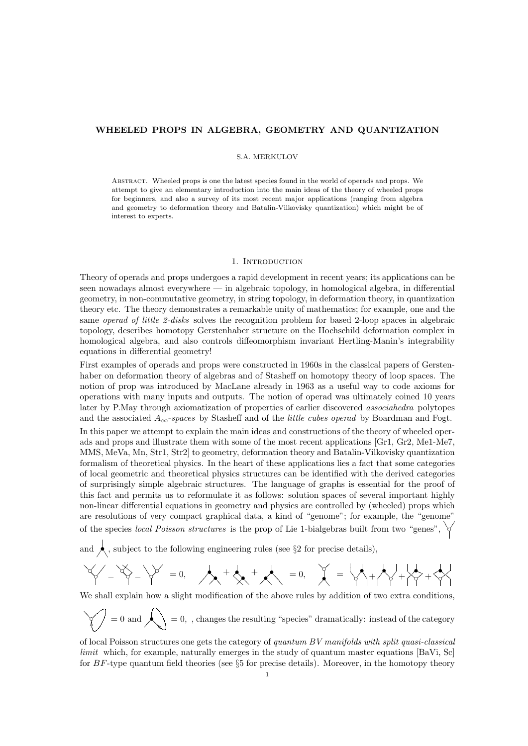## WHEELED PROPS IN ALGEBRA, GEOMETRY AND QUANTIZATION

## S.A. MERKULOV

Abstract. Wheeled props is one the latest species found in the world of operads and props. We attempt to give an elementary introduction into the main ideas of the theory of wheeled props for beginners, and also a survey of its most recent major applications (ranging from algebra and geometry to deformation theory and Batalin-Vilkovisky quantization) which might be of interest to experts.

### 1. Introduction

Theory of operads and props undergoes a rapid development in recent years; its applications can be seen nowadays almost everywhere — in algebraic topology, in homological algebra, in differential geometry, in non-commutative geometry, in string topology, in deformation theory, in quantization theory etc. The theory demonstrates a remarkable unity of mathematics; for example, one and the same operad of little 2-disks solves the recognition problem for based 2-loop spaces in algebraic topology, describes homotopy Gerstenhaber structure on the Hochschild deformation complex in homological algebra, and also controls diffeomorphism invariant Hertling-Manin's integrability equations in differential geometry!

First examples of operads and props were constructed in 1960s in the classical papers of Gerstenhaber on deformation theory of algebras and of Stasheff on homotopy theory of loop spaces. The notion of prop was introduced by MacLane already in 1963 as a useful way to code axioms for operations with many inputs and outputs. The notion of operad was ultimately coined 10 years later by P.May through axiomatization of properties of earlier discovered associahedra polytopes and the associated  $A_{\infty}$ -spaces by Stasheff and of the *little cubes operad* by Boardman and Fogt.

In this paper we attempt to explain the main ideas and constructions of the theory of wheeled operads and props and illustrate them with some of the most recent applications [Gr1, Gr2, Me1-Me7, MMS, MeVa, Mn, Str1, Str2] to geometry, deformation theory and Batalin-Vilkovisky quantization formalism of theoretical physics. In the heart of these applications lies a fact that some categories of local geometric and theoretical physics structures can be identified with the derived categories of surprisingly simple algebraic structures. The language of graphs is essential for the proof of this fact and permits us to reformulate it as follows: solution spaces of several important highly non-linear differential equations in geometry and physics are controlled by (wheeled) props which are resolutions of very compact graphical data, a kind of "genome"; for example, the "genome" of the species *local Poisson structures* is the prop of Lie 1-bialgebras built from two "genes",  $\forall$ 

and  $\bigwedge$ , subject to the following engineering rules (see §2 for precise details),

$$
M_{\text{max}}-\frac{1}{2}\left\{ \begin{array}{cc} \text{max} & \text{min} \\ \text{max} & \text{min} \end{array} \right. \text{ and } \text{max} \text{ and } \text{max} \text{ and } \text{max} \text{ and } \text{max} \text{ and } \text{max} \text{ and } \text{max} \text{ and } \text{max} \text{ and } \text{max} \text{ and } \text{max} \text{ and } \text{max} \text{ and } \text{max} \text{ and } \text{max} \text{ and } \text{max} \text{ and } \text{max} \text{ and } \text{max} \text{ and } \text{max} \text{ and } \text{max} \text{ and } \text{max} \text{ and } \text{max} \text{ and } \text{min} \text{ and } \text{min} \text{ and } \text{min} \text{ and } \text{min} \text{ and } \text{min} \text{ and } \text{min} \text{ and } \text{min} \text{ and } \text{min} \text{ and } \text{min} \text{ and } \text{min} \text{ and } \text{min} \text{ and } \text{min} \text{ and } \text{min} \text{ and } \text{min} \text{ and } \text{min} \text{ and } \text{min} \text{ and } \text{min} \text{ and } \text{min} \text{ and } \text{min} \text{ and } \text{min} \text{ and } \text{min} \text{ and } \text{min} \text{ and } \text{min} \text{ and } \text{min} \text{ and } \text{min} \text{ and } \text{min} \text{ and } \text{min} \text{ and } \text{min} \text{ and } \text{min} \text{ and } \text{min} \text{ and } \text{min} \text{ and } \text{min} \text{ and } \text{min} \text{ and } \text{min} \text{ and } \text{min} \text{ and } \text{min} \text{ and } \text{min} \text{ and } \text{min} \text{ and } \text{min} \text{ and } \text{min} \text{ and } \text{min} \text{ and } \text{min} \text{ and } \text{min} \text{ and } \text{min} \text{ and } \text{min} \text{ and } \text{min} \text{ and } \text{min} \text{ and } \text{min} \text{ and } \text{min} \text{ and } \text{min} \text{ and } \text{min} \text{ and
$$

We shall explain how a slight modification of the above rules by addition of two extra conditions,

$$
\bigvee = 0 \text{ and } \bigwedge = 0, \text{ , changes the resulting "species" dramatically: instead of the category}
$$

of local Poisson structures one gets the category of quantum  $BV$  manifolds with split quasi-classical limit which, for example, naturally emerges in the study of quantum master equations [BaVi, Sc] for  $BF$ -type quantum field theories (see  $\S5$  for precise details). Moreover, in the homotopy theory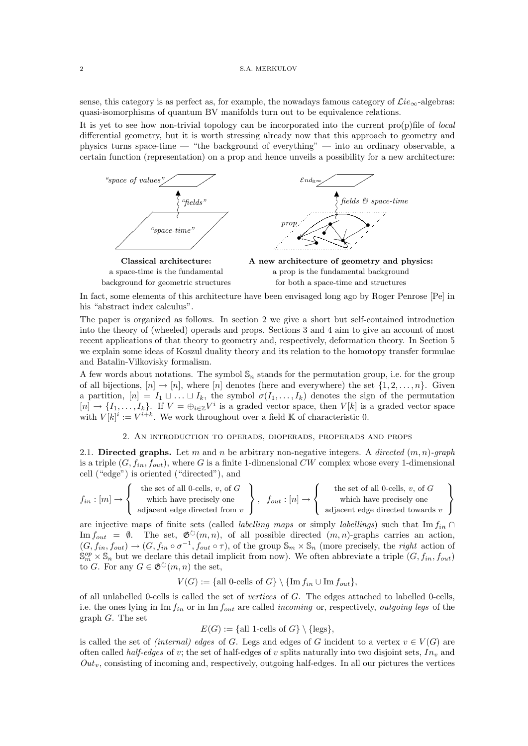sense, this category is as perfect as, for example, the nowadays famous category of  $\mathcal{L}ie_{\infty}$ -algebras: quasi-isomorphisms of quantum BV manifolds turn out to be equivalence relations.

It is yet to see how non-trivial topology can be incorporated into the current pro(p)file of local differential geometry, but it is worth stressing already now that this approach to geometry and physics turns space-time — "the background of everything" — into an ordinary observable, a certain function (representation) on a prop and hence unveils a possibility for a new architecture:



In fact, some elements of this architecture have been envisaged long ago by Roger Penrose [Pe] in his "abstract index calculus".

The paper is organized as follows. In section 2 we give a short but self-contained introduction into the theory of (wheeled) operads and props. Sections 3 and 4 aim to give an account of most recent applications of that theory to geometry and, respectively, deformation theory. In Section 5 we explain some ideas of Koszul duality theory and its relation to the homotopy transfer formulae and Batalin-Vilkovisky formalism.

A few words about notations. The symbol  $\mathbb{S}_n$  stands for the permutation group, i.e. for the group of all bijections,  $[n] \rightarrow [n]$ , where  $[n]$  denotes (here and everywhere) the set  $\{1, 2, \ldots, n\}$ . Given a partition,  $[n] = I_1 \sqcup \ldots \sqcup I_k$ , the symbol  $\sigma(I_1, \ldots, I_k)$  denotes the sign of the permutation  $[n] \to \{I_1,\ldots,I_k\}$ . If  $V = \bigoplus_{i\in\mathbb{Z}} V^i$  is a graded vector space, then  $V[k]$  is a graded vector space with  $V[k]^i := V^{i+k}$ . We work throughout over a field K of characteristic 0.

## 2. An introduction to operads, dioperads, properads and props

2.1. Directed graphs. Let m and n be arbitrary non-negative integers. A directed  $(m, n)$ -graph is a triple  $(G, f_{in}, f_{out})$ , where G is a finite 1-dimensional CW complex whose every 1-dimensional cell ("edge") is oriented ("directed"), and

$$
f_{in} : [m] \rightarrow \left\{\begin{array}{c} \text{the set of all 0-cells, } v, \text{ of } G \\ \text{which have precisely one} \\ \text{adjacent edge directed from } v \end{array}\right\}, \quad f_{out} : [n] \rightarrow \left\{\begin{array}{c} \text{the set of all 0-cells, } v, \text{ of } G \\ \text{which have precisely one} \\ \text{adjacent edge directed towards } v \end{array}\right\}
$$

are injective maps of finite sets (called *labelling maps* or simply *labellings*) such that Im  $f_{in}$  ∩ Im  $f_{out} = \emptyset$ . The set,  $\mathfrak{G}^{\circlearrowright}(m, n)$ , of all possible directed  $(m, n)$ -graphs carries an action,  $(G, f_{in}, f_{out}) \rightarrow (G, f_{in} \circ \sigma^{-1}, f_{out} \circ \tau)$ , of the group  $\mathbb{S}_m \times \mathbb{S}_n$  (more precisely, the right action of  $\mathbb{S}_{m}^{op} \times \mathbb{S}_{n}$  but we declare this detail implicit from now). We often abbreviate a triple  $(G, f_{in}, f_{out})$ to G. For any  $G \in \mathfrak{G}^{\circlearrowright}(m, n)$  the set,

$$
V(G) := \{ \text{all 0-cells of } G \} \setminus \{ \text{Im } f_{in} \cup \text{Im } f_{out} \},
$$

of all unlabelled 0-cells is called the set of vertices of G. The edges attached to labelled 0-cells, i.e. the ones lying in  $\text{Im } f_{in}$  or in  $\text{Im } f_{out}$  are called *incoming* or, respectively, *outgoing legs* of the graph G. The set

$$
E(G) := \{ \text{all 1-cells of } G \} \setminus \{ \text{legs} \},
$$

is called the set of (internal) edges of G. Legs and edges of G incident to a vertex  $v \in V(G)$  are often called *half-edges* of v; the set of half-edges of v splits naturally into two disjoint sets,  $In<sub>v</sub>$  and  $Out_v$ , consisting of incoming and, respectively, outgoing half-edges. In all our pictures the vertices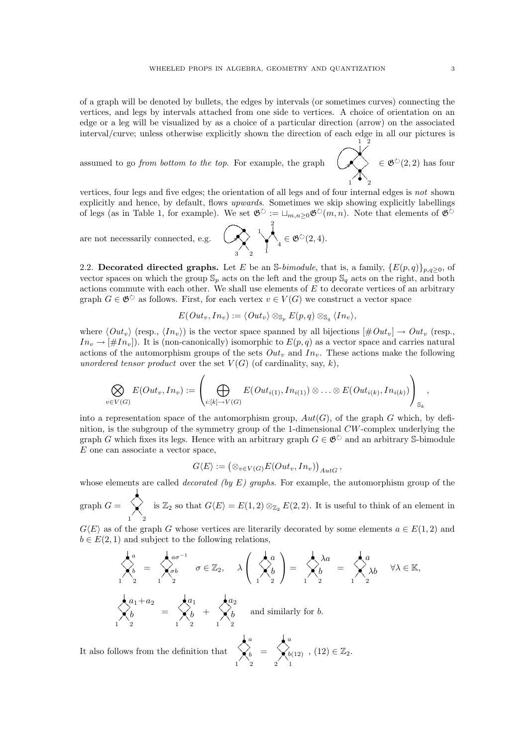of a graph will be denoted by bullets, the edges by intervals (or sometimes curves) connecting the vertices, and legs by intervals attached from one side to vertices. A choice of orientation on an edge or a leg will be visualized by as a choice of a particular direction (arrow) on the associated interval/curve; unless otherwise explicitly shown the direction of each edge in all our pictures is 1 2

assumed to go from bottom to the top. For example, the graph

 $\prec$  $\ltimes$  $\bigwedge$  $\left\langle \right\rangle \in \mathfrak{G}^{\circlearrowright}(2,2)$  has four

21

vertices, four legs and five edges; the orientation of all legs and of four internal edges is not shown explicitly and hence, by default, flows upwards. Sometimes we skip showing explicitly labellings of legs (as in Table 1, for example). We set  $\mathfrak{G}^{\circlearrowright} := \sqcup_{m,n\geq 0} \mathfrak{G}^{\circlearrowright}(m,n)$ . Note that elements of  $\mathfrak{G}^{\circlearrowright}$ 

are not necessarily connected, e.g. 
$$
\left(\bigtimes_{3}^{1}\right)^{2}_{2} \downarrow \left(\bigotimes_{4}^{2}(2,4)\right)
$$
.

2.2. Decorated directed graphs. Let E be an S-bimodule, that is, a family,  $\{E(p,q)\}_{p,q>0}$ , of vector spaces on which the group  $\mathbb{S}_p$  acts on the left and the group  $\mathbb{S}_q$  acts on the right, and both actions commute with each other. We shall use elements of  $E$  to decorate vertices of an arbitrary graph  $G \in \mathfrak{G}^{\circlearrowright}$  as follows. First, for each vertex  $v \in V(G)$  we construct a vector space

$$
E(Out_v, In_v) := \langle Out_v \rangle \otimes_{\mathbb{S}_p} E(p,q) \otimes_{\mathbb{S}_q} \langle In_v \rangle,
$$

where  $\langle Out_v \rangle$  (resp.,  $\langle In_v \rangle$ ) is the vector space spanned by all bijections  $[\#Out_v] \rightarrow Out_v$  (resp.,  $In_v \to [\#In_v]$ . It is (non-canonically) isomorphic to  $E(p, q)$  as a vector space and carries natural actions of the automorphism groups of the sets  $Out_v$  and  $In_v$ . These actions make the following unordered tensor product over the set  $V(G)$  (of cardinality, say, k),

$$
\bigotimes_{v\in V(G)} E(Out_v, In_v) := \left(\bigoplus_{i:[k]\to V(G)} E(Out_{i(1)}, In_{i(1)}) \otimes \ldots \otimes E(Out_{i(k)}, In_{i(k)})\right)_{\mathbb{S}_k},
$$

into a representation space of the automorphism group,  $Aut(G)$ , of the graph G which, by definition, is the subgroup of the symmetry group of the 1-dimensional CW-complex underlying the graph G which fixes its legs. Hence with an arbitrary graph  $G \in \mathfrak{G}^{\circlearrowright}$  and an arbitrary S-bimodule  $E$  one can associate a vector space,

$$
G\langle E\rangle:=\big(\otimes_{v\in V(G)}E(Out_v,In_v)\big)_{Aut G},
$$

whose elements are called *decorated (by E)* graphs. For example, the automorphism group of the

graph  $G = \bigotimes_1$ is  $\mathbb{Z}_2$  so that  $G\langle E\rangle = E(1, 2) \otimes_{\mathbb{Z}_2} E(2, 2)$ . It is useful to think of an element in

 $G\langle E\rangle$  as of the graph G whose vertices are literarily decorated by some elements  $a \in E(1, 2)$  and  $b \in E(2, 1)$  and subject to the following relations,

$$
\begin{aligned}\n\sum_{1}^{a} &= \sum_{1}^{a} \sigma^{1} \\
\sum_{2}^{b} &= \sum_{1}^{a} \sigma \in \mathbb{Z}_{2}, \quad \lambda \left( \sum_{1}^{a} \right) = \sum_{1}^{a} \lambda a \\
\sum_{2}^{b} &= \sum_{1}^{a} \lambda b \quad \forall \lambda \in \mathbb{K}, \\
\sum_{1}^{a} &= \sum_{2}^{a} \lambda b + \sum_{1}^{a} \lambda b \quad \text{and similarly for } b.\n\end{aligned}
$$

It also follows from the definition that  $\begin{matrix} a & b \\ b & b \\ 1 & 2 \end{matrix}$ =  $\bigwedge_{2}^{a} \begin{matrix} a \ b(12) \end{matrix}$ ,  $(12) \in \mathbb{Z}_2$ .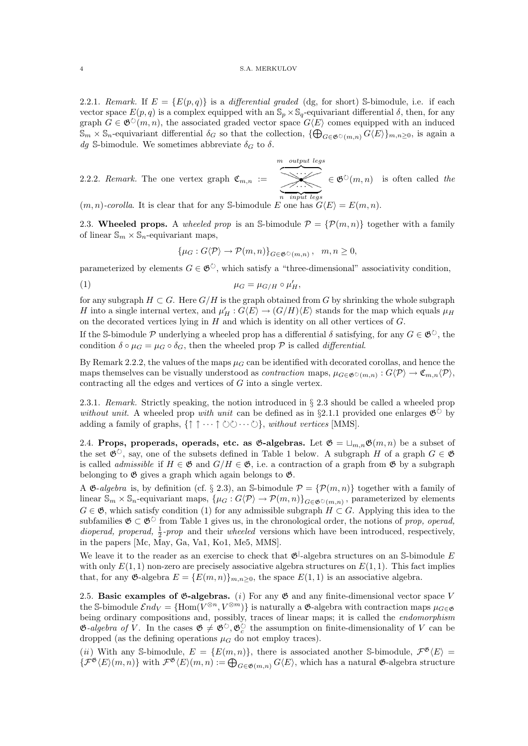2.2.1. Remark. If  $E = \{E(p, q)\}\$ is a differential graded (dg, for short) S-bimodule, i.e. if each vector space  $E(p, q)$  is a complex equipped with an  $\mathbb{S}_p \times \mathbb{S}_q$ -equivariant differential  $\delta$ , then, for any graph  $G \in \mathfrak{G}^{\circ}(m,n)$ , the associated graded vector space  $G\langle E \rangle$  comes equipped with an induced  $\mathbb{S}_m \times \mathbb{S}_n$ -equivariant differential  $\delta_G$  so that the collection,  $\{\bigoplus_{G \in \mathfrak{G} \circ (m,n)} G\langle E \rangle\}_{m,n \geq 0}$ , is again a dg S-bimodule. We sometimes abbreviate  $\delta_G$  to  $\delta$ .

2.2.2. Remark. The one vertex graph  $\mathfrak{C}_{m,n}$  :=  $\overline{\mathcal{K}}$  $\overline{n}$  input legs m output legs n input legs  $\in \mathfrak{G}^{\circlearrowright}(m,n)$  is often called the

 $(m, n)$ -corolla. It is clear that for any S-bimodule E one has  $G\langle E \rangle = E(m, n)$ .

2.3. Wheeled props. A wheeled prop is an S-bimodule  $P = \{P(m,n)\}\$ together with a family of linear  $\mathbb{S}_m \times \mathbb{S}_n$ -equivariant maps,

$$
\{\mu_G: G\langle \mathcal{P}\rangle \to \mathcal{P}(m,n)\}_{G\in \mathfrak{G} \circ (m,n)}, \quad m,n \ge 0,
$$

parameterized by elements  $G \in \mathfrak{G}^{\circlearrowright}$ , which satisfy a "three-dimensional" associativity condition,

$$
\mu_G = \mu_{G/H} \circ \mu'_H,
$$

for any subgraph  $H \subset G$ . Here  $G/H$  is the graph obtained from G by shrinking the whole subgraph H into a single internal vertex, and  $\mu'_H: G\langle E \rangle \to (G/H)\langle E \rangle$  stands for the map which equals  $\mu_H$ on the decorated vertices lying in  $H$  and which is identity on all other vertices of  $G$ .

If the S-bimodule P underlying a wheeled prop has a differential  $\delta$  satisfying, for any  $G \in \mathfrak{G}^{\circlearrowright}$ , the condition  $\delta \circ \mu_G = \mu_G \circ \delta_G$ , then the wheeled prop  $\mathcal P$  is called *differential*.

By Remark 2.2.2, the values of the maps  $\mu_G$  can be identified with decorated corollas, and hence the maps themselves can be visually understood as *contraction* maps,  $\mu_{G \in \mathfrak{G}(\mathcal{C})}(m,n): G\langle \mathcal{P} \rangle \to \mathfrak{C}_{m,n}\langle \mathcal{P} \rangle$ , contracting all the edges and vertices of G into a single vertex.

2.3.1. Remark. Strictly speaking, the notion introduced in § 2.3 should be called a wheeled prop without unit. A wheeled prop with unit can be defined as in §2.1.1 provided one enlarges  $\mathfrak{G}^{\circlearrowright}$  by adding a family of graphs,  $\{\uparrow \uparrow \cdots \uparrow \circlearrowright \circlearrowright \cdots \circlearrowright$ , without vertices [MMS].

2.4. Props, properads, operads, etc. as  $\mathfrak{G}$ -algebras. Let  $\mathfrak{G} = \sqcup_{m,n} \mathfrak{G}(m,n)$  be a subset of the set  $\mathfrak{G}^{\circ}$ , say, one of the subsets defined in Table 1 below. A subgraph H of a graph  $G \in \mathfrak{G}$ is called *admissible* if  $H \in \mathfrak{G}$  and  $G/H \in \mathfrak{G}$ , i.e. a contraction of a graph from  $\mathfrak{G}$  by a subgraph belonging to  $\mathfrak G$  gives a graph which again belongs to  $\mathfrak G$ .

A  $\mathfrak{G}-algebra$  is, by definition (cf. § 2.3), an S-bimodule  $\mathcal{P} = {\mathcal{P}(m,n)}$  together with a family of linear  $\mathbb{S}_m \times \mathbb{S}_n$ -equivariant maps,  $\{\mu_G : G \langle \mathcal{P} \rangle \to \mathcal{P}(m,n)\}_{G \in \mathfrak{G} \cup (m,n)}$ , parameterized by elements  $G \in \mathfrak{G}$ , which satisfy condition (1) for any admissible subgraph  $H \subset G$ . Applying this idea to the subfamilies  $\mathfrak{G} \subset \mathfrak{G}^{\circlearrowright}$  from Table 1 gives us, in the chronological order, the notions of prop, operad, *dioperad, properad,*  $\frac{1}{2}$ -prop and their *wheeled* versions which have been introduced, respectively, in the papers [Mc, May, Ga, Va1, Ko1, Me5, MMS].

We leave it to the reader as an exercise to check that  $\mathfrak{G}^{\vert}$ -algebra structures on an S-bimodule E with only  $E(1, 1)$  non-zero are precisely associative algebra structures on  $E(1, 1)$ . This fact implies that, for any  $\mathfrak{G}\text{-algebra }E = \{E(m,n)\}_{m,n\geq 0}$ , the space  $E(1,1)$  is an associative algebra.

2.5. Basic examples of  $\mathfrak{G}\text{-algebras.}$  (i) For any  $\mathfrak{G}$  and any finite-dimensional vector space V the S-bimodule  $\mathcal{E}nd_V = \{\text{Hom}(V^{\otimes n}, V^{\otimes m})\}$  is naturally a  $\mathfrak{G}$ -algebra with contraction maps  $\mu_{G \in \mathfrak{G}}$ being ordinary compositions and, possibly, traces of linear maps; it is called the *endomorphism*  $\mathfrak{G}-algebra$  of V. In the cases  $\mathfrak{G} \neq \mathfrak{G}^{\circ}$ ,  $\mathfrak{G}_{c}^{\circ}$  the assumption on finite-dimensionality of V can be dropped (as the defining operations  $\mu$ <sup> $\alpha$ </sup> do not employ traces).

(*ii*) With any S-bimodule,  $E = \{E(m, n)\}\$ , there is associated another S-bimodule,  $\mathcal{F}^{\mathfrak{G}}\langle E \rangle =$  $\{\mathcal{F}^{\mathfrak{G}}(E)(m,n)\}\$  with  $\mathcal{F}^{\mathfrak{G}}(E)(m,n) := \bigoplus_{G \in \mathfrak{G}(m,n)} G\langle E \rangle$ , which has a natural  $\mathfrak{G}\text{-algebra structure}$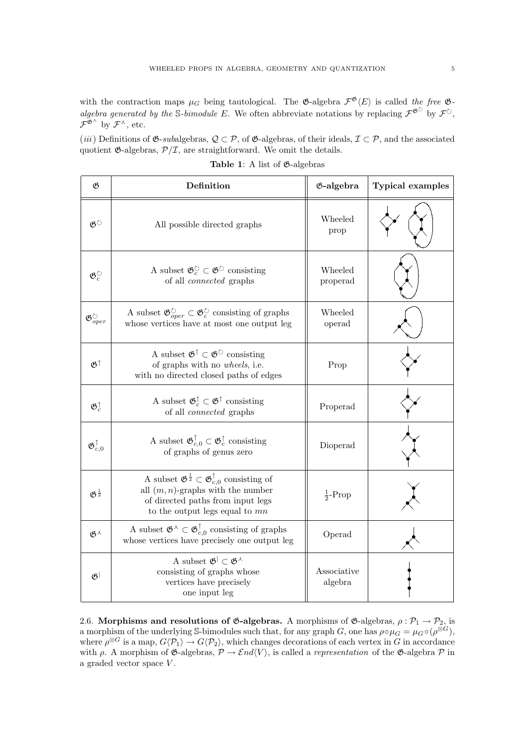with the contraction maps  $\mu_G$  being tautological. The  $\mathfrak{G}$ -algebra  $\mathcal{F}^{\mathfrak{G}}\langle E\rangle$  is called the free  $\mathfrak{G}$ algebra generated by the S-bimodule E. We often abbreviate notations by replacing  $\mathcal{F}^{\mathfrak{G}^{\circ}}$  by  $\mathcal{F}^{\circ}$ ,  $\mathcal{F}^{\mathfrak{G}^{\lambda}}$  by  $\mathcal{F}^{\lambda}$ , etc.

(iii) Definitions of  $\mathfrak{G}\text{-}subalgebras, \mathcal{Q}\subset\mathcal{P}$ , of  $\mathfrak{G}\text{-}algebras,$  of their ideals,  $\mathcal{I}\subset\mathcal{P}$ , and the associated quotient  $\mathfrak{G}\text{-algebras}, \mathcal{P}/\mathcal{I},$  are straightforward. We omit the details.

| $\mathfrak{G}$                            | Definition                                                                                                                                                                                                 | <b>G-algebra</b>       | <b>Typical examples</b> |
|-------------------------------------------|------------------------------------------------------------------------------------------------------------------------------------------------------------------------------------------------------------|------------------------|-------------------------|
| $\mathfrak{G}^\circlearrowright$          | All possible directed graphs                                                                                                                                                                               | Wheeled<br>prop        |                         |
| $\mathfrak{G}^{\circlearrowright}_c$      | A subset $\mathfrak{G}_c^{\circlearrowright} \subset \mathfrak{G}^{\circlearrowright}$ consisting<br>of all <i>connected</i> graphs                                                                        | Wheeled<br>properad    |                         |
| $\mathfrak{G}^{\circlearrowright}_{oper}$ | A subset $\mathfrak{G}^{\circlearrowright}_{oper} \subset \mathfrak{G}^{\circlearrowright}_c$ consisting of graphs<br>whose vertices have at most one output leg                                           | Wheeled<br>operad      |                         |
| $\mathfrak{G}^{\uparrow}$                 | A subset $\mathfrak{G}^{\uparrow} \subset \mathfrak{G}^{\circlearrowright}$ consisting<br>of graphs with no wheels, i.e.<br>with no directed closed paths of edges                                         | Prop                   |                         |
| $\mathfrak{G}_c^{\uparrow}$               | A subset $\mathfrak{G}_c^{\uparrow}\subset \mathfrak{G}^{\uparrow}$ consisting<br>of all <i>connected</i> graphs                                                                                           | Properad               |                         |
| $\mathfrak{G}^{\uparrow}_{c, 0}$          | A subset $\mathfrak{G}_{c,0}^{\uparrow} \subset \mathfrak{G}_{c}^{\uparrow}$ consisting<br>of graphs of genus zero                                                                                         | Dioperad               |                         |
| $\mathfrak{G}^{\frac{1}{2}}$              | A subset $\mathfrak{G}^{\frac{1}{2}} \subset \mathfrak{G}^{\uparrow}_{c,0}$ consisting of<br>all $(m, n)$ -graphs with the number<br>of directed paths from input legs<br>to the output legs equal to $mn$ | $\frac{1}{2}$ -Prop    |                         |
| $\mathfrak{G}^\lambda$                    | A subset $\mathfrak{G}^{\wedge} \subset \mathfrak{G}^{\uparrow}_{c,0}$ consisting of graphs<br>whose vertices have precisely one output leg                                                                | Operad                 |                         |
| $\mathfrak{G}^{\mid}$                     | A subset $\mathfrak{G}^{\dagger} \subset \mathfrak{G}^{\lambda}$<br>consisting of graphs whose<br>vertices have precisely<br>one input leg                                                                 | Associative<br>algebra |                         |

Table 1: A list of  $\mathfrak{G}\text{-algebras}$ 

2.6. Morphisms and resolutions of  $\mathfrak{G}$ -algebras. A morphisms of  $\mathfrak{G}$ -algebras,  $\rho : \mathcal{P}_1 \to \mathcal{P}_2$ , is a morphism of the underlying S-bimodules such that, for any graph G, one has  $\rho \circ \mu_G = \mu_G \circ (\rho^{\otimes G})$ , where  $\rho^{\otimes G}$  is a map,  $G\langle \mathcal{P}_1\rangle \to G\langle \mathcal{P}_2\rangle$ , which changes decorations of each vertex in G in accordance with  $\rho$ . A morphism of  $\mathfrak{G}$ -algebras,  $\mathcal{P} \to \mathcal{E}nd\langle V\rangle$ , is called a *representation* of the  $\mathfrak{G}$ -algebra  $\mathcal P$  in a graded vector space  $V$ .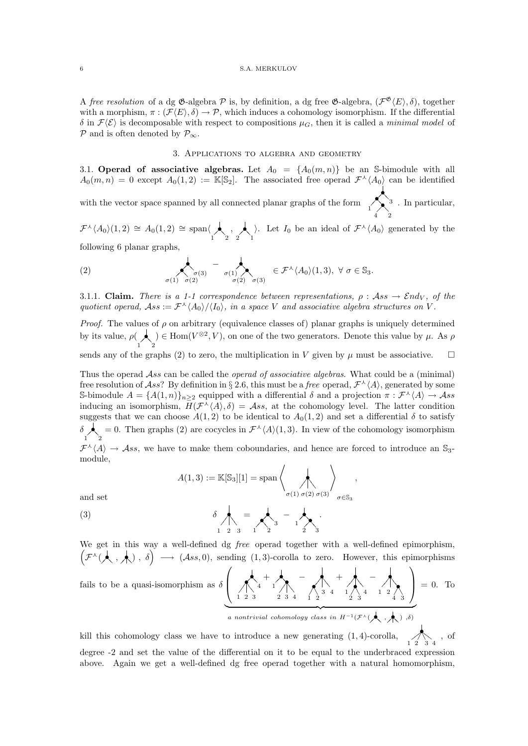A free resolution of a dg  $\mathfrak{G}$ -algebra  $\mathcal P$  is, by definition, a dg free  $\mathfrak{G}$ -algebra,  $(\mathcal F^{\mathfrak{G}}\langle E\rangle,\delta)$ , together with a morphism,  $\pi : (\mathcal{F}\langle E \rangle, \delta) \to \mathcal{P}$ , which induces a cohomology isomorphism. If the differential  $\delta$  in  $\mathcal{F}(\mathcal{E})$  is decomposable with respect to compositions  $\mu_G$ , then it is called a minimal model of  $\mathcal P$  and is often denoted by  $\mathcal P_{\infty}$ .

# 3. Applications to algebra and geometry

3.1. Operad of associative algebras. Let  $A_0 = \{A_0(m,n)\}\$ be an S-bimodule with all  $A_0(m,n) = 0$  except  $A_0(1,2) := \mathbb{K}[\mathbb{S}_2]$ . The associated free operad  $\mathcal{F}^{\lambda}(A_0)$  can be identified

with the vector space spanned by all connected planar graphs of the form  $\sim$ 24  $\sum_{1}^{3}$ . In particular,

 $\mathcal{F}^{\lambda}(A_0)(1,2) \cong A_0(1,2) \cong \text{span}\langle \bigwedge_1, \bigwedge_2, \bigwedge_1 \rangle$ . Let  $I_0$  be an ideal of  $\mathcal{F}^{\lambda}(A_0)$  generated by the following 6 planar graphs,

(2) 
$$
\left\langle \bigwedge_{\sigma(1)} \bigwedge_{\sigma(2)}^{\sigma(3)} - \bigwedge_{\sigma(1)} \bigwedge_{\sigma(2)}^{\sigma(3)} \in \mathcal{F}^{\lambda} \langle A_0 \rangle (1,3), \ \forall \ \sigma \in \mathbb{S}_3.
$$

3.1.1. Claim. There is a 1-1 correspondence between representations,  $\rho : Ass \to End_V$ , of the quotient operad,  $Ass := \mathcal{F}^{\lambda} \langle A_0 \rangle / \langle I_0 \rangle$ , in a space V and associative algebra structures on V.

*Proof.* The values of  $\rho$  on arbitrary (equivalence classes of) planar graphs is uniquely determined by its value,  $\rho(\bigwedge_1)$ ) ∈ Hom( $V^{\otimes 2}$ , V), on one of the two generators. Denote this value by μ. As  $ρ$ sends any of the graphs (2) to zero, the multiplication in V given by  $\mu$  must be associative.  $\square$ 

Thus the operad  $\mathcal{A}ss$  can be called the *operad of associative algebras*. What could be a (minimal) free resolution of Ass? By definition in § 2.6, this must be a free operad,  $\mathcal{F}^{\lambda}(A)$ , generated by some S-bimodule  $A = \{A(1,n)\}_{n \geq 2}$  equipped with a differential  $\delta$  and a projection  $\pi : \mathcal{F}^{\lambda} \langle A \rangle \to \mathcal{A}ss$ inducing an isomorphism,  $H(\mathcal{F}^{\lambda}(A), \delta) = \mathcal{A}ss$ , at the cohomology level. The latter condition suggests that we can choose  $A(1,2)$  to be identical to  $A_0(1,2)$  and set a differential  $\delta$  to satisfy  $\delta$   $\lambda$ <sub>2</sub> = 0. Then graphs (2) are cocycles in  $\mathcal{F}^{\lambda}(A)(1,3)$ . In view of the cohomology isomorphism  $\mathcal{F}^{\lambda}(A) \to Ass$ , we have to make them coboundaries, and hence are forced to introduce an S<sub>3</sub>-

module,

$$
A(1,3) := \mathbb{K}[\mathbb{S}_3][1] = \text{span}\left\langle \bigotimes_{\sigma(1) \ \sigma(2) \ \sigma(3)} \right\rangle_{\sigma \in \mathbb{S}_3},
$$

and set

(3) 
$$
\delta \bigwedge_{1 \ 2 \ 3} = \bigwedge_{1 \ 2} - \bigwedge_{2} \cdots
$$

We get in this way a well-defined dg *free* operad together with a well-defined epimorphism,  $\left(\mathcal{F}^{\lambda}(\lambda, \lambda), \delta\right) \longrightarrow (\mathcal{A}ss, 0),$  sending  $(1, 3)$ -corolla to zero. However, this epimorphisms

fails to be a quasi-isomorphism as 
$$
\delta \left( \bigwedge_{1 \ 2 \ 3}^{4} + \bigwedge_{2 \ 3 \ 4}^{4} - \bigwedge_{1 \ 2 \ 3 \ 4}^{4} + \bigwedge_{2 \ 3 \ 4}^{4} - \bigwedge_{2 \ 3 \ 4}^{4} - \bigwedge_{2 \ 3 \ 4}^{4} = 0.
$$
 To

kill this cohomology class we have to introduce a new generating  $(1, 4)$ -corolla,  $\overline{\phantom{a}}$  $\mathscr{A}$  $\bigwedge_{1 \ 2 \ 3 \ 4}$ , of degree -2 and set the value of the differential on it to be equal to the underbraced expression above. Again we get a well-defined dg free operad together with a natural homomorphism,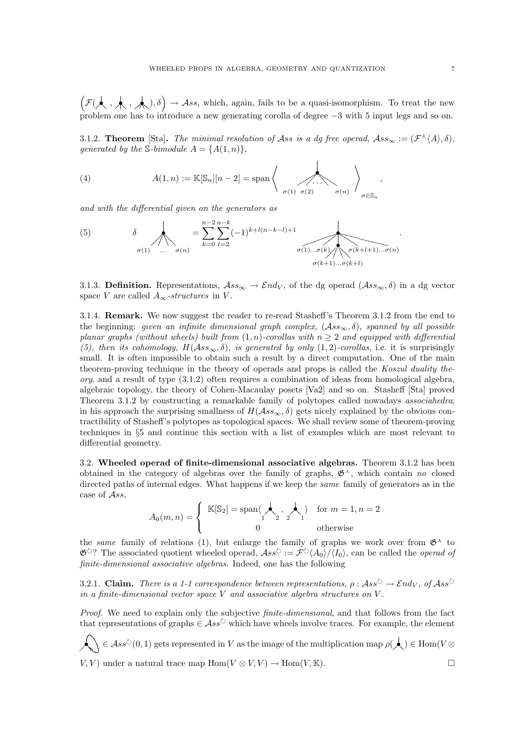$\left(\mathcal{F}(\mathcal{A}, \mathcal{A}, \mathcal{A}), \delta\right) \to \mathcal{A}ss$ , which, again, fails to be a quasi-isomorphism. To treat the new problem one has to introduce a new generating corolla of degree −3 with 5 input legs and so on.

3.1.2. Theorem [Sta]. The minimal resolution of Ass is a dg free operad,  $\mathcal{A}ss_{\infty} := (\mathcal{F}^{\wedge}\langle A \rangle, \delta)$ , generated by the S-bimodule  $A = \{A(1,n)\},\$ 

 $\overline{1}$ 

(4) 
$$
A(1,n) := \mathbb{K}[\mathbb{S}_n][n-2] = \mathrm{span}\left\{\left.\bigoplus_{\sigma(1),\sigma(2)}\dots\bigoplus_{\sigma(n)}\right\}_{\sigma\in\mathbb{S}_n},\right\}
$$

and with the differential given on the generators as

(5) 
$$
\delta = \sum_{k=0}^{n-2} \sum_{l=2}^{n-k} (-1)^{k+l(n-k-l)+1} \sigma(1) \dots \sigma(k) \left( \sum_{\sigma(k+l+1) \dots \sigma(n)} \sigma(k+l+1) \dots \sigma(n) \right)
$$

3.1.3. Definition. Representations,  $\mathcal{A}ss_{\infty} \to \mathcal{E}nd_V$ , of the dg operad  $(\mathcal{A}ss_{\infty},\delta)$  in a dg vector space V are called  $A_{\infty}$ -structures in V.

3.1.4. Remark. We now suggest the reader to re-read Stasheff's Theorem 3.1.2 from the end to the beginning: given an infinite dimensional graph complex,  $(Ass_{\infty}, \delta)$ , spanned by all possible planar graphs (without wheels) built from  $(1, n)$ -corollas with  $n \geq 2$  and equipped with differential (5), then its cohomology,  $H(Ass_{\infty},\delta)$ , is generated by only  $(1,2)$ -corollas, i.e. it is surprisingly small. It is often impossible to obtain such a result by a direct computation. One of the main theorem-proving technique in the theory of operads and props is called the Koszul duality the- $\gamma$ , and a result of type  $(3.1.2)$  often requires a combination of ideas from homological algebra, algebraic topology, the theory of Cohen-Macaulay posets [Va2] and so on. Stasheff [Sta] proved Theorem 3.1.2 by constructing a remarkable family of polytopes called nowadays *associahedra*; in his approach the surprising smallness of  $H(Ass_{\infty}, \delta)$  gets nicely explained by the obvious contractibility of Stasheff's polytopes as topological spaces. We shall review some of theorem-proving techniques in §5 and continue this section with a list of examples which are most relevant to differential geometry.

3.2. Wheeled operad of finite-dimensional associative algebras. Theorem 3.1.2 has been obtained in the category of algebras over the family of graphs,  $\mathfrak{G}^{\lambda}$ , which contain no closed directed paths of internal edges. What happens if we keep the *same* family of generators as in the case of Ass,

$$
A_0(m,n) = \begin{cases} \mathbb{K}[\mathbb{S}_2] = \text{span}\langle \bigwedge_1, \bigwedge_2, \bigwedge_1 \rangle & \text{for } m = 1, n = 2 \\ 0 & \text{otherwise} \end{cases}
$$

the same family of relations (1), but enlarge the family of graphs we work over from  $\mathfrak{G}^{\lambda}$  to  $\mathfrak{G}^{\circlearrowright}$ ? The associated quotient wheeled operad,  $\mathcal{A}ss^{\circlearrowright} := \tilde{\mathcal{F}}^{\circlearrowright}\langle A_0\rangle/\langle I_0\rangle$ , can be called the *operad of* finite-dimensional associative algebras. Indeed, one has the following

3.2.1. Claim. There is a 1-1 correspondence between representations,  $\rho : Ass^{\circ} \to End_V$ , of  $Ass^{\circ}$ in a finite-dimensional vector space V and associative algebra structures on V .

Proof. We need to explain only the subjective *finite-dimensional*, and that follows from the fact that representations of graphs  $\in \mathcal{A}ss^{\circ}$  which have wheels involve traces. For example, the element

 $\bigotimes_{i=1}^n A(s) \in Ass^{\circlearrowright}(0,1)$  gets represented in V as the image of the multiplication map  $\rho(\bigwedge) \in \text{Hom}(V \otimes \mathbb{C})$  $V, V$  under a natural trace map  $\text{Hom}(V \otimes V, V) \to \text{Hom}(V, \mathbb{K})$ .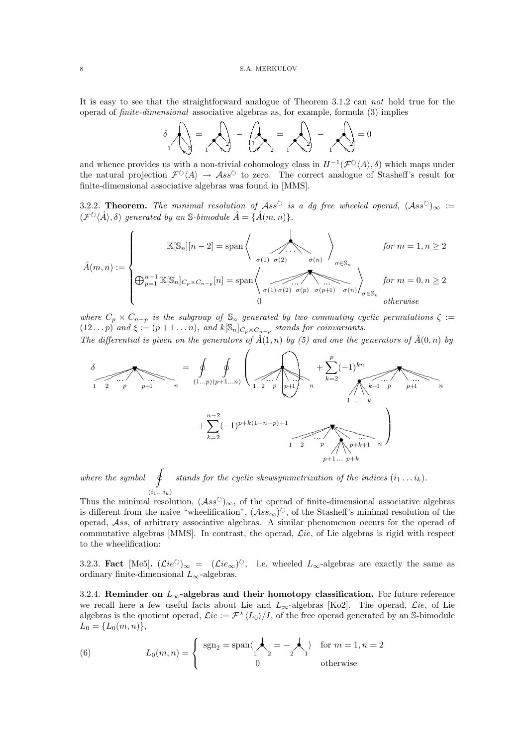It is easy to see that the straightforward analogue of Theorem 3.1.2 can not hold true for the operad of finite-dimensional associative algebras as, for example, formula (3) implies



and whence provides us with a non-trivial cohomology class in  $H^{-1}(\mathcal{F}^{\circlearrowright}\langle A\rangle,\delta)$  which maps under the natural projection  $\mathcal{F}^{\circlearrowright}\langle A\rangle \to \mathcal{A}ss^{\circlearrowright}$  to zero. The correct analogue of Stasheff's result for finite-dimensional associative algebras was found in [MMS].

3.2.2. Theorem. The minimal resolution of  $\mathcal{A}ss^{\circlearrowright}$  is a dg free wheeled operad,  $(\mathcal{A}ss^{\circlearrowright})_{\infty}:=$  $(\mathcal{F}^{\circlearrowright}\langle \hat{A}\rangle,\delta)$  generated by an S-bimodule  $\hat{A} = \{\hat{A}(m,n)\},\delta$ 

$$
\hat{A}(m,n) := \begin{cases}\n\mathbb{K}[\mathbb{S}_n][n-2] = \text{span}\left\{\n\begin{array}{c}\n\sigma(1) \quad \sigma(2) \\
\sigma(n) \quad \sigma(\mathbb{S}_n)\n\end{array}\n\right\} & \text{for } m = 1, n \ge 2 \\
\bigoplus_{p=1}^{n-1} \mathbb{K}[\mathbb{S}_n]_{C_p \times C_{n-p}}[n] = \text{span}\left\{\n\begin{array}{c}\n\sigma(1) \quad \sigma(2) \quad \sigma(p) \quad \sigma(p+1) \\
\sigma(1) \quad \sigma(2) \quad \sigma(p) \quad \sigma(p+1) \quad \sigma(n)\n\end{array}\n\right\}_{\sigma \in \mathbb{S}_n} & \text{for } m = 0, n \ge 2 \\
otherwise\n\end{cases}
$$

where  $C_p \times C_{n-p}$  is the subgroup of  $\mathbb{S}_n$  generated by two commuting cyclic permutations  $\zeta :=$  $(12\ldots p)$  and  $\xi := (p+1\ldots n)$ , and  $k[\mathbb{S}_n]_{C_p \times C_{n-p}}$  stands for coinvariants.

The differential is given on the generators of  $\hat{A}(1,n)$  by (5) and one the generators of  $\hat{A}(0,n)$  by

$$
\delta = \oint_{1} \oint_{2} \left( \frac{1}{(1...p)(p+1...n)} \left( \frac{1}{1 \cdot 2^{-p}} \right) \frac{1}{p+1} \right) \left( \frac{1}{n} \right) \frac{1}{n} \left( \frac{1}{1 \cdot 2^{-p}} \right) \frac{1}{p+1} \left( \frac{1}{n} \right) \frac{1}{n} \left( \frac{1}{1} \right) \frac{1}{n} \left( \frac{1}{1} \right) \frac{1}{n} \left( \frac{1}{1} \right) \frac{1}{n} \left( \frac{1}{1} \right) \frac{1}{n} \left( \frac{1}{1} \right) \frac{1}{n} \left( \frac{1}{1} \right) \frac{1}{n} \left( \frac{1}{1} \right) \frac{1}{n} \left( \frac{1}{1} \right) \frac{1}{n} \left( \frac{1}{1} \right) \frac{1}{n} \left( \frac{1}{1} \right) \frac{1}{n} \left( \frac{1}{1} \right) \frac{1}{n} \left( \frac{1}{1} \right) \frac{1}{n} \left( \frac{1}{1} \right) \frac{1}{n} \left( \frac{1}{1} \right) \frac{1}{n} \left( \frac{1}{1} \right) \frac{1}{n} \left( \frac{1}{1} \right) \frac{1}{n} \left( \frac{1}{1} \right) \frac{1}{n} \left( \frac{1}{1} \right) \frac{1}{n} \left( \frac{1}{1} \right) \frac{1}{n} \left( \frac{1}{1} \right) \frac{1}{n} \left( \frac{1}{1} \right) \frac{1}{n} \left( \frac{1}{1} \right) \frac{1}{n} \left( \frac{1}{1} \right) \frac{1}{n} \left( \frac{1}{1} \right) \frac{1}{n} \left( \frac{1}{1} \right) \frac{1}{n} \left( \frac{1}{1} \right) \frac{1}{n} \left( \frac{1}{1} \right) \frac{1}{n} \left( \frac{1}{1} \right) \frac{1}{n} \left( \frac{1}{1} \right) \frac{1}{n} \left( \frac{1}{1} \right) \frac{1}{n} \left( \frac{1}{1} \right) \frac{1}{n} \left( \frac{1}{1
$$

where the symbol  $\oint$  stands for the cyclic skewsymmetrization of the indices  $(i_1 \ldots i_k)$ .  $(i_1...i_k)$ 

Thus the minimal resolution,  $(As^{\circlearrowright})_{\infty}$ , of the operad of finite-dimensional associative algebras is different from the naive "wheelification",  $(Ass_{\infty})^{\circlearrowright}$ , of the Stasheff's minimal resolution of the operad, Ass, of arbitrary associative algebras. A similar phenomenon occurs for the operad of commutative algebras [MMS]. In contrast, the operad,  $\mathcal{L}ie$ , of Lie algebras is rigid with respect to the wheelification:

3.2.3. Fact [Me5].  $(\mathcal{L}ie^{\circlearrowright})_{\infty} = (\mathcal{L}ie_{\infty})^{\circlearrowright}$ , i.e. wheeled  $L_{\infty}$ -algebras are exactly the same as ordinary finite-dimensional  $L_{\infty}$ -algebras.

3.2.4. Reminder on  $L_{\infty}$ -algebras and their homotopy classification. For future reference we recall here a few useful facts about Lie and  $L_{\infty}$ -algebras [Ko2]. The operad,  $\mathcal{L}ie$ , of Lie algebras is the quotient operad,  $\mathcal{L}ie := \mathcal{F}^{\lambda} \langle L_0 \rangle / I$ , of the free operad generated by an S-bimodule  $L_0 = \{L_0(m, n)\},\,$ 

(6) 
$$
L_0(m,n) = \begin{cases} \operatorname{sgn}_2 = \operatorname{span}\langle \bigwedge_1^2 2\bigwedge_2^2 2\bigwedge_1^2 2\bigwedge_2^2 2\bigwedge_2^2 2\bigwedge_2^2 2\bigwedge_2^2 2\bigwedge_2^2 2\bigwedge_2^2 2\bigwedge_2^2 2\bigwedge_2^2 2\bigwedge_2^2 2\bigwedge_2^2 2\bigwedge_2^2 2\bigwedge_2^2 2\bigwedge_2^2 2\bigwedge_2^2 2\bigwedge_2^2 2\bigwedge_2^2 2\bigwedge_2^2 2\bigwedge_2^2 2\bigwedge_2^2 2\bigwedge_2^2 2\bigwedge_2^2 2\bigwedge_2^2 2\bigwedge_2^2 2\bigwedge_2^2 2\bigwedge_2^2 2\bigwedge_2^2 2\bigwedge_2^2 2\bigwedge_2^2 2\bigwedge_2^2 2\bigwedge_2^2 2\bigwedge_2^2 2\bigwedge_2^2 2\bigwedge_2^2 2\bigwedge_2^2 2\bigwedge_2^2 2\bigwedge_2^2 2\bigwedge_2^2 2\bigwedge_2^2 2\bigwedge_2^2 2\bigwedge_2^2 2\bigwedge_2^2 2\bigwedge_2^2 2\bigwedge_2^2 2\bigwedge_2^2 2\bigwedge_2^2 2\bigwedge_2^2 2\bigwedge_2^2 2\bigwedge_2^2 2\bigwedge_2^2 2\bigwedge_2^2 2\bigwedge_2^2 2\bigwedge_2^2 2\bigwedge_2^2 2\bigwedge_2^2 2\bigwedge_2^2 2\bigwedge_2^2 2\bigwedge_2^2 2\bigwedge_2^2 2\bigwedge_2^2 2\bigwedge_2^2 2\bigwedge_2^2 2\bigwedge_2^2 2\bigwedge_2^2 2\bigwedge_2^2 2\bigwedge_2^2 2\bigwedge_2^2 2\bigwedge_2^2 2\bigwedge_2^2 2\bigwedge_2^2 2\bigwedge_2^2
$$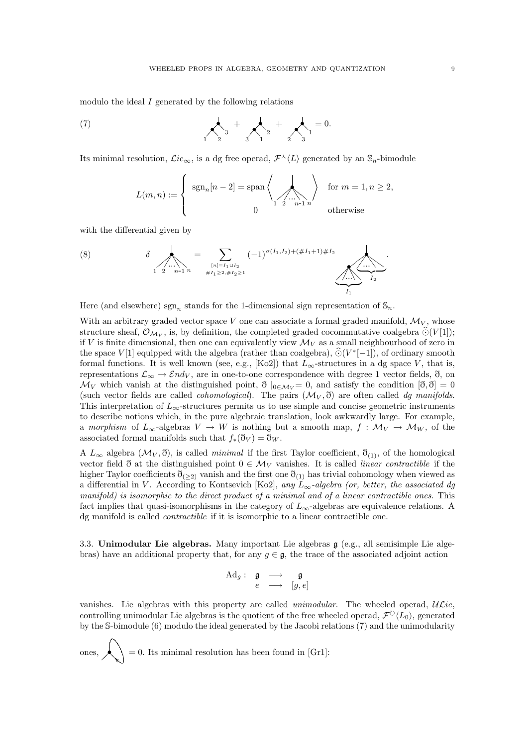modulo the ideal I generated by the following relations

(7) 
$$
\sum_{1}^{4} 3 + \sum_{1}^{4} 2 + \sum_{1}^{4} 1 = 0.
$$

Its minimal resolution,  $\mathcal{L}ie_{\infty}$ , is a dg free operad,  $\mathcal{F}^{\lambda}\langle L\rangle$  generated by an  $\mathbb{S}_n$ -bimodule

$$
L(m, n) := \begin{cases} \operatorname{sgn}_n[n-2] = \operatorname{span} \left\langle \bigotimes_{1 \leq 2 \leq \dots \leq n-1} \right\rangle & \text{for } m = 1, n \geq 2, \\ 0 & \text{otherwise} \end{cases}
$$

with the differential given by

(8) 
$$
\delta \sum_{\substack{n=1 \ n \neq l_1 \geq 2, \#I_2 \geq 1}} (-1)^{\sigma(I_1, I_2) + (\#I_1 + 1) \#I_2} \sum_{\substack{n=1 \ n \neq l_1 \geq 2, \#I_2 \geq 1}} (-1)^{\sigma(I_1, I_2) + (\#I_1 + 1) \#I_2} \sum_{\substack{l_1 \neq l_2 \geq 1}} (-1)^{\sigma(I_1, I_2) \{l_1 + l_2 + l_3 \}}.
$$

Here (and elsewhere)  $sgn_n$  stands for the 1-dimensional sign representation of  $\mathbb{S}_n$ .

With an arbitrary graded vector space  $V$  one can associate a formal graded manifold,  $\mathcal{M}_V$ , whose structure sheaf,  $\mathcal{O}_{\mathcal{M}_V}$ , is, by definition, the completed graded cocommutative coalgebra  $\widehat{\odot}(V[1])$ ; if V is finite dimensional, then one can equivalently view  $\mathcal{M}_V$  as a small neighbourhood of zero in the space  $V[1]$  equipped with the algebra (rather than coalgebra),  $\widehat{\odot}(V^*[-1])$ , of ordinary smooth formal functions. It is well known (see, e.g., [Ko2]) that  $L_{\infty}$ -structures in a dg space V, that is, representations  $\mathcal{L}_{\infty} \to \mathcal{E}nd_V$ , are in one-to-one correspondence with degree 1 vector fields,  $\eth$ , on  $\mathcal{M}_V$  which vanish at the distinguished point,  $\partial_{0\in\mathcal{M}_V}=0$ , and satisfy the condition  $[\partial,\partial]=0$ (such vector fields are called *cohomological*). The pairs  $(\mathcal{M}_V, \eth)$  are often called dg manifolds. This interpretation of  $L_{\infty}$ -structures permits us to use simple and concise geometric instruments to describe notions which, in the pure algebraic translation, look awkwardly large. For example, a morphism of  $L_{\infty}$ -algebras  $V \to W$  is nothing but a smooth map,  $f : \mathcal{M}_V \to \mathcal{M}_W$ , of the associated formal manifolds such that  $f_*(\eth_V) = \eth_W$ .

A  $L_{\infty}$  algebra  $(\mathcal{M}_V, \vec{0})$ , is called *minimal* if the first Taylor coefficient,  $\eth_{(1)}$ , of the homological vector field  $\eth$  at the distinguished point  $0 \in \mathcal{M}_V$  vanishes. It is called *linear contractible* if the higher Taylor coefficients  $\eth_{(\geq 2)}$  vanish and the first one  $\eth_{(1)}$  has trivial cohomology when viewed as a differential in V. According to Kontsevich [Ko2], any  $L_{\infty}$ -algebra (or, better, the associated dg manifold) is isomorphic to the direct product of a minimal and of a linear contractible ones. This fact implies that quasi-isomorphisms in the category of  $L_{\infty}$ -algebras are equivalence relations. A dg manifold is called contractible if it is isomorphic to a linear contractible one.

3.3. Unimodular Lie algebras. Many important Lie algebras g (e.g., all semisimple Lie algebras) have an additional property that, for any  $g \in \mathfrak{g}$ , the trace of the associated adjoint action

$$
\begin{array}{cccc} \mathrm{Ad}_g : & \mathfrak{g} & \longrightarrow & \mathfrak{g} \\ & e & \longrightarrow & [g,e] \end{array}
$$

vanishes. Lie algebras with this property are called unimodular. The wheeled operad,  $ULie$ , controlling unimodular Lie algebras is the quotient of the free wheeled operad,  $\mathcal{F}^{\circlearrowright}\langle L_0\rangle$ , generated by the S-bimodule (6) modulo the ideal generated by the Jacobi relations (7) and the unimodularity

ones,  $\leftarrow$  = 0. Its minimal resolution has been found in [Gr1]: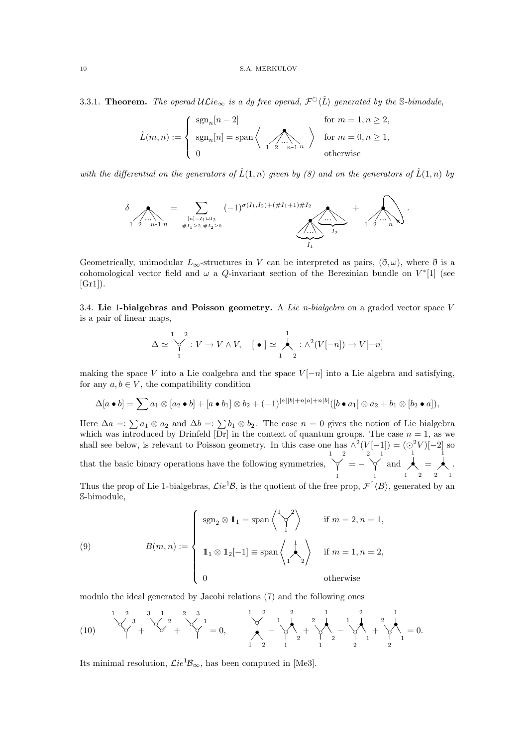3.3.1. Theorem. The operad  $\mathcal{UL}ie_{\infty}$  is a dg free operad,  $\mathcal{F}^{\circlearrowright} \langle \hat{L} \rangle$  generated by the S-bimodule,

$$
\hat{L}(m, n) := \begin{cases} \operatorname{sgn}_n[n-2] & \text{for } m = 1, n \ge 2, \\ \operatorname{sgn}_n[n] = \operatorname{span} \left\langle \bigwedge_{1 \ 2 \ \cdots n-1 \ n} \right\rangle & \text{for } m = 0, n \ge 1, \\ 0 & \text{otherwise} \end{cases}
$$

with the differential on the generators of  $\hat{L}(1,n)$  given by (8) and on the generators of  $\hat{L}(1,n)$  by



Geometrically, unimodular  $L_{\infty}$ -structures in V can be interpreted as pairs,  $(\eth, \omega)$ , where  $\eth$  is a cohomological vector field and  $\omega$  a Q-invariant section of the Berezinian bundle on  $V^*[1]$  (see  $[Gr1]$ ).

3.4. Lie 1-bialgebras and Poisson geometry. A Lie n-bialgebra on a graded vector space V is a pair of linear maps,

$$
\Delta \simeq \bigvee_{1}^{1} : V \to V \wedge V, \quad [\bullet] \simeq \bigwedge_{1}^{1} : \wedge^{2}(V[-n]) \to V[-n]
$$

making the space V into a Lie coalgebra and the space  $V[-n]$  into a Lie algebra and satisfying, for any  $a, b \in V$ , the compatibility condition

$$
\Delta[a \bullet b] = \sum a_1 \otimes [a_2 \bullet b] + [a \bullet b_1] \otimes b_2 + (-1)^{|a||b|+n|a|+n|b|} ([b \bullet a_1] \otimes a_2 + b_1 \otimes [b_2 \bullet a]),
$$

Here  $\Delta a =: \sum a_1 \otimes a_2$  and  $\Delta b =: \sum b_1 \otimes b_2$ . The case  $n = 0$  gives the notion of Lie bialgebra which was introduced by Drinfeld  $\overline{[Dr]}$  in the context of quantum groups. The case  $n = 1$ , as we shall see below, is relevant to Poisson geometry. In this case one has  $\wedge^2(V[-1]) = (\odot^2 V)[-2]$  so that the basic binary operations have the following symmetries,  $\overrightarrow{y}$ 1 21  $= - \sqrt[2]{x}$ 1 12 and  $\lambda$ 1  $\sum_{1}^{\bullet}=\sum_{2}^{\bullet}$ 1 12 .

Thus the prop of Lie 1-bialgebras,  $\mathcal{L}ie^{1}B$ , is the quotient of the free prop,  $\mathcal{F}^{\uparrow}\langle B\rangle$ , generated by an S-bimodule,

(9) 
$$
B(m, n) := \begin{cases} \operatorname{sgn}_{2} \otimes \mathbf{1}_{1} = \operatorname{span} \left\langle \bigvee_{1}^{1} \right\rangle & \text{if } m = 2, n = 1, \\ 1_{1} \otimes \mathbf{1}_{2}[-1] \equiv \operatorname{span} \left\langle \bigwedge_{1}^{1} \right\rangle & \text{if } m = 1, n = 2, \\ 0 & \text{otherwise} \end{cases}
$$

modulo the ideal generated by Jacobi relations (7) and the following ones

(10) ◦ ◦? << <sup>3</sup> 21 + ◦ ◦? << <sup>2</sup> 13 + ◦ ◦? << <sup>1</sup> 32 = 0, ?? ◦ • 9 9 21 1 2 − 7 7 ◦ •3 3 3 1 2 2 1 + 7 7 ◦ •3 3 3 1 2 1 2 − 7 7 ◦ •3 3 3 2 1 2 1 + 7 7 ◦ •3 3 3 2 1 1 2 = 0.

Its minimal resolution,  $\mathcal{L}ie^1\mathcal{B}_{\infty}$ , has been computed in [Me3].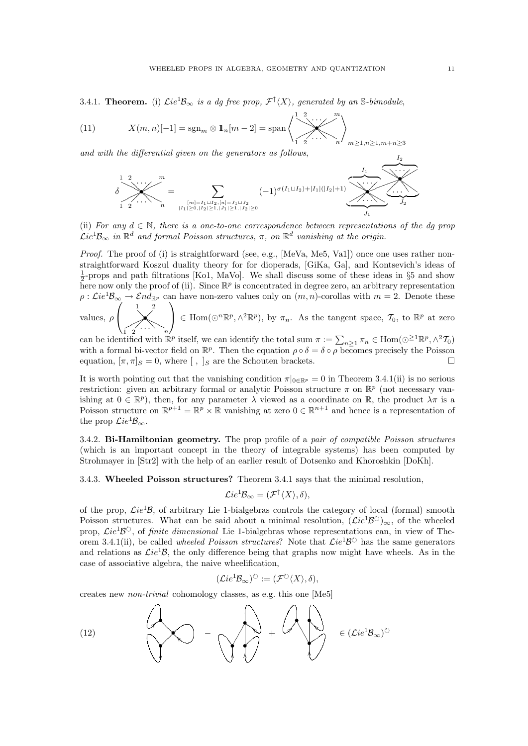3.4.1. **Theorem.** (i)  $\mathcal{L}ie^{1}\mathcal{B}_{\infty}$  is a dg free prop,  $\mathcal{F}^{\uparrow}\langle X\rangle$ , generated by an S-bimodule,

(11) 
$$
X(m,n)[-1] = \operatorname{sgn}_m \otimes 1_n[m-2] = \operatorname{span}\left\{\sum_{1=2}^{n} \cdots \sum_{n=1,n}^{n} \right\}
$$

and with the differential given on the generators as follows,

$$
\delta \sum_{1 \ 2}^{1 \ 2} \cdots \sum_{n}^{m} = \sum_{\substack{[m] = I_1 \sqcup I_2, [n] = J_1 \sqcup J_2 \\ |I_1| \ge 0, |I_2| \ge 1, |J_1| \ge 1, |J_2| \ge 0}} (-1)^{\sigma(I_1 \sqcup I_2) + |I_1|(|I_2|+1)} \underbrace{\sum_{1 \ \cdots \ \sum_{j_1} \cdots \ \sum_{j_1} \cdots \sum_{j_i} \cdots \sum_{j_i} \cdots \sum_{j_i} \cdots \sum_{j_i} \cdots \sum_{j_i} \cdots \sum_{j_i} \cdots \sum_{j_i} \cdots \sum_{j_i} \cdots \sum_{j_i} \cdots \sum_{j_i} \cdots \sum_{j_i} \cdots \sum_{j_i} \cdots \sum_{j_i} \cdots \sum_{j_i} \cdots \sum_{j_i} \cdots \sum_{j_i} \cdots \sum_{j_i} \cdots \sum_{j_i} \cdots \sum_{j_i} \cdots \sum_{j_i} \cdots \sum_{j_i} \cdots \sum_{j_i} \cdots \sum_{j_i} \cdots \sum_{j_i} \cdots \sum_{j_i} \cdots \sum_{j_i} \cdots \sum_{j_i} \cdots \sum_{j_i} \cdots \sum_{j_i} \cdots \sum_{j_i} \sum_{j_i} \cdots \sum_{j_i} \sum_{j_i} \cdots \sum_{j_i} \sum_{j_i} \cdots \sum_{j_i} \sum_{j_i} \cdots \sum_{j_i} \sum_{j_i} \cdots \sum_{j_i} \sum_{j_i} \cdots \sum_{j_i} \sum_{j_i} \cdots \sum_{j_i} \sum_{j_i} \sum_{j_i} \cdots \sum_{j_i} \sum_{j_i} \sum_{j_i} \sum_{j_i} \cdots \sum_{j_i} \sum_{j_i} \sum_{j_i} \sum_{j_i} \sum_{j_i} \sum_{j_i} \sum_{j_i} \sum_{j_i} \sum_{j_i} \sum_{j_i} \sum_{j_i} \sum_{j_i} \sum_{j_i} \sum_{j_i} \sum_{j_i} \sum_{j_i} \sum_{j_i} \sum_{j_i} \sum_{j_i} \sum_{j_i} \sum_{j_i} \sum_{j_i} \sum_{j_i} \sum_{j_i} \sum_{j_i} \sum_{j_i} \sum_{j_i} \sum_{j_i} \sum_{j_i} \sum_{j_i} \
$$

(ii) For any  $d \in \mathbb{N}$ , there is a one-to-one correspondence between representations of the dg prop  $\mathcal{L}ie^1\mathcal{B}_{\infty}$  in  $\mathbb{R}^d$  and formal Poisson structures,  $\pi$ , on  $\mathbb{R}^d$  vanishing at the origin.

Proof. The proof of (i) is straightforward (see, e.g., [MeVa, Me5, Va1]) once one uses rather nonstraightforward Koszul duality theory for for dioperads, [GiKa, Ga], and Kontsevich's ideas of  $\frac{1}{2}$ -props and path filtrations [Ko1, MaVo]. We shall discuss some of these ideas in §5 and show here now only the proof of (ii). Since  $\mathbb{R}^p$  is concentrated in degree zero, an arbitrary representation  $\rho : \mathcal{L}ie^1\mathcal{B}_{\infty} \to \mathcal{E}nd_{\mathbb{R}^p}$  can have non-zero values only on  $(m, n)$ -corollas with  $m = 2$ . Denote these  $\sqrt{ }$ 1 2  $\setminus$ 

values,  $\rho$  $\overline{\mathscr{X}}$  $\bigwedge$  $\frac{1}{2}$   $\frac{2}{n}$  $\Big\} \in \text{Hom}(\bigcirc^n \mathbb{R}^p, \wedge^2 \mathbb{R}^p)$ , by  $\pi_n$ . As the tangent space,  $\mathcal{T}_0$ , to  $\mathbb{R}^p$  at zero

can be identified with  $\mathbb{R}^p$  itself, we can identify the total sum  $\pi := \sum_{n\geq 1} \pi_n \in \text{Hom}(\odot^{\geq 1} \mathbb{R}^p, \wedge^2 \mathcal{T}_0)$ with a formal bi-vector field on  $\mathbb{R}^p$ . Then the equation  $\rho \circ \delta = \delta \circ \rho$  becomes precisely the Poisson equation,  $[\pi, \pi]_S = 0$ , where  $[ , ]_S$  are the Schouten brackets.

It is worth pointing out that the vanishing condition  $\pi|_{0 \in \mathbb{R}^p} = 0$  in Theorem 3.4.1(ii) is no serious restriction: given an arbitrary formal or analytic Poisson structure  $\pi$  on  $\mathbb{R}^p$  (not necessary vanishing at  $0 \in \mathbb{R}^p$ , then, for any parameter  $\lambda$  viewed as a coordinate on  $\mathbb{R}$ , the product  $\lambda \pi$  is a Poisson structure on  $\mathbb{R}^{p+1} = \mathbb{R}^p \times \mathbb{R}$  vanishing at zero  $0 \in \mathbb{R}^{n+1}$  and hence is a representation of the prop  $\mathcal{L}ie^1\mathcal{B}_{\infty}$ .

3.4.2. Bi-Hamiltonian geometry. The prop profile of a pair of compatible Poisson structures (which is an important concept in the theory of integrable systems) has been computed by Strohmayer in [Str2] with the help of an earlier result of Dotsenko and Khoroshkin [DoKh].

3.4.3. Wheeled Poisson structures? Theorem 3.4.1 says that the minimal resolution,

$$
\mathcal{L}ie^1\mathcal{B}_{\infty}=(\mathcal{F}^{\uparrow}\langle X\rangle,\delta),
$$

of the prop,  $Lie^{1}B$ , of arbitrary Lie 1-bialgebras controls the category of local (formal) smooth Poisson structures. What can be said about a minimal resolution,  $(\mathcal{L}ie^1\mathcal{B}^{\circlearrowright})_{\infty}$ , of the wheeled prop,  $\mathcal{L}ie^1\mathcal{B}^{\circlearrowright}$ , of *finite dimensional* Lie 1-bialgebras whose representations can, in view of Theorem 3.4.1(ii), be called *wheeled Poisson structures*? Note that  $\mathcal{L}ie^1\mathcal{B}^{\circlearrowright}$  has the same generators and relations as  $\mathcal{L}ie^{1}B$ , the only difference being that graphs now might have wheels. As in the case of associative algebra, the naive wheelification,

$$
(\mathcal{L}ie^1\mathcal{B}_{\infty})^{\circlearrowright} := (\mathcal{F}^{\circlearrowright}\langle X\rangle,\delta),
$$

creates new non-trivial cohomology classes, as e.g. this one [Me5]

(12) 
$$
(12)
$$
  $\rightarrow$   $\rightarrow$   $\rightarrow$   $\rightarrow$   $\rightarrow$   $\rightarrow$   $\rightarrow$   $\rightarrow$   $\rightarrow$   $\rightarrow$   $\rightarrow$   $\rightarrow$   $\rightarrow$   $\rightarrow$   $\rightarrow$   $\rightarrow$   $\rightarrow$   $\rightarrow$   $\rightarrow$   $\rightarrow$   $\rightarrow$   $\rightarrow$   $\rightarrow$   $\rightarrow$   $\rightarrow$   $\rightarrow$   $\rightarrow$   $\rightarrow$   $\rightarrow$   $\rightarrow$   $\rightarrow$   $\rightarrow$   $\rightarrow$   $\rightarrow$   $\rightarrow$   $\rightarrow$   $\rightarrow$   $\rightarrow$   $\rightarrow$   $\rightarrow$   $\rightarrow$   $\rightarrow$   $\rightarrow$   $\rightarrow$   $\rightarrow$   $\rightarrow$   $\rightarrow$   $\rightarrow$   $\rightarrow$   $\rightarrow$   $\rightarrow$   $\rightarrow$   $\rightarrow$   $\rightarrow$   $\rightarrow$   $\rightarrow$   $\rightarrow$   $\rightarrow$   $\rightarrow$   $\rightarrow$   $\rightarrow$   $\rightarrow$   $\rightarrow$   $\rightarrow$   $\rightarrow$   $\rightarrow$   $\rightarrow$   $\rightarrow$   $\rightarrow$   $\rightarrow$   $\rightarrow$   $\rightarrow$   $\rightarrow$   $\rightarrow$   $\rightarrow$   $\rightarrow$   $\rightarrow$   $\rightarrow$   $\rightarrow$   $\rightarrow$   $\rightarrow$   $\rightarrow$   $\rightarrow$   $\rightarrow$   $\rightarrow$   $\rightarrow$   $\rightarrow$   $\rightarrow$   $\rightarrow$   $\rightarrow$   $\rightarrow$   $\rightarrow$   $\rightarrow$   $\rightarrow$   $\rightarrow$   $\rightarrow$   $\rightarrow$   $\rightarrow$   $\rightarrow$   $\rightarrow$   $\rightarrow$   $\rightarrow$   $\rightarrow$   $\rightarrow$   $\rightarrow$   $\rightarrow$   $\rightarrow$   $\rightarrow$ 

 $>1, m+n>3$ 

 $\frac{I_2}{\cdot}$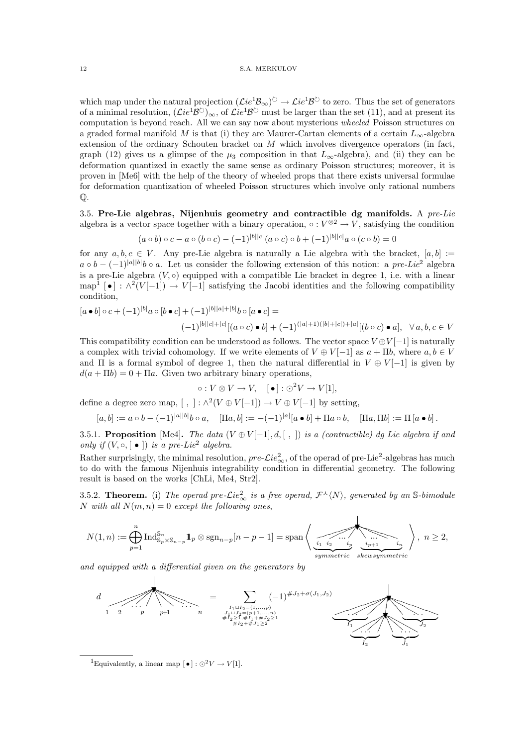which map under the natural projection  $(\mathcal{L}ie^1\mathcal{B}_{\infty})^{\circlearrowright} \to \mathcal{L}ie^1\mathcal{B}^{\circlearrowright}$  to zero. Thus the set of generators of a minimal resolution,  $(\mathcal{L}ie^1\mathcal{B}^{\circlearrowright})_{\infty}$ , of  $\mathcal{L}ie^1\mathcal{B}^{\circlearrowright}$  must be larger than the set (11), and at present its computation is beyond reach. All we can say now about mysterious wheeled Poisson structures on a graded formal manifold M is that (i) they are Maurer-Cartan elements of a certain  $L_{\infty}$ -algebra extension of the ordinary Schouten bracket on M which involves divergence operators (in fact, graph (12) gives us a glimpse of the  $\mu_3$  composition in that  $L_{\infty}$ -algebra), and (ii) they can be deformation quantized in exactly the same sense as ordinary Poisson structures; moreover, it is proven in [Me6] with the help of the theory of wheeled props that there exists universal formulae for deformation quantization of wheeled Poisson structures which involve only rational numbers  $\mathbb{Q}$ .

3.5. Pre-Lie algebras, Nijenhuis geometry and contractible dg manifolds. A  $pre-Lie$ algebra is a vector space together with a binary operation,  $\circ: V^{\otimes 2} \to V$ , satisfying the condition

$$
(a \circ b) \circ c - a \circ (b \circ c) - (-1)^{|b||c|} (a \circ c) \circ b + (-1)^{|b||c|} a \circ (c \circ b) = 0
$$

for any  $a, b, c \in V$ . Any pre-Lie algebra is naturally a Lie algebra with the bracket,  $[a, b] :=$  $a \circ b - (-1)^{|a||b|} b \circ a$ . Let us consider the following extension of this notion: a pre-Lie<sup>2</sup> algebra is a pre-Lie algebra  $(V, \circ)$  equipped with a compatible Lie bracket in degree 1, i.e. with a linear map<sup>1</sup> [•] :  $\wedge^2(V[-1]) \rightarrow V[-1]$  satisfying the Jacobi identities and the following compatibility condition,

$$
[a \bullet b] \circ c + (-1)^{|b|} a \circ [b \bullet c] + (-1)^{|b||a|+|b|} b \circ [a \bullet c] =
$$
  

$$
(-1)^{|b||c|+|c|} [(a \circ c) \bullet b] + (-1)^{(|a|+1)(|b|+|c|)+|a|} [(b \circ c) \bullet a], \quad \forall a, b, c \in V
$$

This compatibility condition can be understood as follows. The vector space  $V \oplus V[-1]$  is naturally a complex with trivial cohomology. If we write elements of  $V \oplus V[-1]$  as  $a + \Pi b$ , where  $a, b \in V$ and  $\Pi$  is a formal symbol of degree 1, then the natural differential in  $V \oplus V[-1]$  is given by  $d(a + \Pi b) = 0 + \Pi a$ . Given two arbitrary binary operations,

$$
\circ: V \otimes V \to V, \quad [\bullet] : \odot^2 V \to V[1],
$$

define a degree zero map,  $[ , ] : \wedge^2(V \oplus V[-1]) \to V \oplus V[-1]$  by setting,

$$
[a,b]:=a\circ b-(-1)^{|a||b|}b\circ a,\quad [\Pi a,b]:=-(-1)^{|a|}[a\bullet b]+\Pi a\circ b,\quad [\Pi a,\Pi b]:=\Pi\left[a\bullet b\right].
$$

3.5.1. Proposition [Me4]. The data  $(V \oplus V[-1], d, [-, ])$  is a (contractible) dg Lie algebra if and only if  $(V, \circ, [\bullet])$  is a pre-Lie<sup>2</sup> algebra.

Rather surprisingly, the minimal resolution,  $pre\text{-}Lie^2_{\infty}$ , of the operad of pre-Lie<sup>2</sup>-algebras has much to do with the famous Nijenhuis integrability condition in differential geometry. The following result is based on the works [ChLi, Me4, Str2].

3.5.2. **Theorem.** (i) The operad pre- $\mathcal{L}ie_{\infty}^2$  is a free operad,  $\mathcal{F}^{\lambda}\langle N\rangle$ , generated by an S-bimodule N with all  $N(m, n) = 0$  except the following ones,

 $\overline{1}$ 

$$
N(1, n) := \bigoplus_{p=1}^{n} \operatorname{Ind}_{\mathcal{S}_p \times \mathcal{S}_{n-p}}^{\mathcal{S}_n} 1_p \otimes \operatorname{sgn}_{n-p}[n-p-1] = \operatorname{span}\left\{\underbrace{\underbrace{\underbrace{\qquad \qquad \qquad \qquad \qquad}_{i_1 \ \ i_2 \ \ \cdots \ i_p}}}_{symmetric \ \ \text{skewsymmetric}} \right\}, \ n \geq 2,
$$

and equipped with a differential given on the generators by



<sup>1</sup>Equivalently, a linear map  $\lceil \bullet \rceil : \odot^2 V \rightarrow V[1]$ .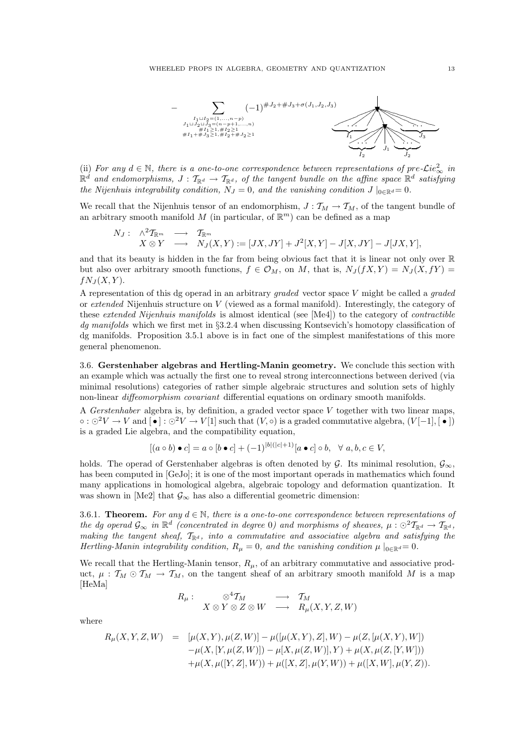

(ii) For any  $d \in \mathbb{N}$ , there is a one-to-one correspondence between representations of pre- $\mathcal{L}ie_{\infty}^2$  in  $\mathbb{R}^d$  and endomorphisms,  $J: \mathcal{T}_{\mathbb{R}^d} \to \mathcal{T}_{\mathbb{R}^d}$ , of the tangent bundle on the affine space  $\mathbb{R}^d$  satisfying the Nijenhuis integrability condition,  $N_J = 0$ , and the vanishing condition  $J|_{0 \in \mathbb{R}^d} = 0$ .

We recall that the Nijenhuis tensor of an endomorphism,  $J: \mathcal{T}_M \to \mathcal{T}_M$ , of the tangent bundle of an arbitrary smooth manifold M (in particular, of  $\mathbb{R}^m$ ) can be defined as a map

$$
\begin{array}{cccc}\nN_J: & \wedge^2 \mathcal{T}_{\mathbb{R}^m} & \longrightarrow & \mathcal{T}_{\mathbb{R}^m} \\
X \otimes Y & \longrightarrow & N_J(X, Y) := [JX, JY] + J^2[X, Y] - J[X, JY] - J[JX, Y],\n\end{array}
$$

and that its beauty is hidden in the far from being obvious fact that it is linear not only over R but also over arbitrary smooth functions,  $f \in \mathcal{O}_M$ , on M, that is,  $N_J(fX, Y) = N_J(X, fY) =$  $fN_J(X, Y)$ .

A representation of this dg operad in an arbitrary graded vector space V might be called a graded or extended Nijenhuis structure on V (viewed as a formal manifold). Interestingly, the category of these extended Nijenhuis manifolds is almost identical (see [Me4]) to the category of contractible dg manifolds which we first met in §3.2.4 when discussing Kontsevich's homotopy classification of dg manifolds. Proposition 3.5.1 above is in fact one of the simplest manifestations of this more general phenomenon.

3.6. Gerstenhaber algebras and Hertling-Manin geometry. We conclude this section with an example which was actually the first one to reveal strong interconnections between derived (via minimal resolutions) categories of rather simple algebraic structures and solution sets of highly non-linear diffeomorphism covariant differential equations on ordinary smooth manifolds.

A Gerstenhaber algebra is, by definition, a graded vector space V together with two linear maps,  $\circ$ :  $\odot^2 V \rightarrow V$  and  $[\bullet] : \odot^2 V \rightarrow V[1]$  such that  $(V, \circ)$  is a graded commutative algebra,  $(V[-1], [\bullet])$ is a graded Lie algebra, and the compatibility equation,

$$
[(a \circ b) \bullet c] = a \circ [b \bullet c] + (-1)^{|b|(|c|+1)} [a \bullet c] \circ b, \quad \forall \ a, b, c \in V,
$$

holds. The operad of Gerstenhaber algebras is often denoted by G. Its minimal resolution,  $\mathcal{G}_{\infty}$ , has been computed in [GeJo]; it is one of the most important operads in mathematics which found many applications in homological algebra, algebraic topology and deformation quantization. It was shown in [Me2] that  $\mathcal{G}_{\infty}$  has also a differential geometric dimension:

3.6.1. Theorem. For any  $d \in \mathbb{N}$ , there is a one-to-one correspondence between representations of the dg operad  $\mathcal{G}_{\infty}$  in  $\mathbb{R}^d$  (concentrated in degree 0) and morphisms of sheaves,  $\mu: \odot^2 T_{\mathbb{R}^d} \to T_{\mathbb{R}^d}$ , making the tangent sheaf,  $\mathcal{T}_{\mathbb{R}^d}$ , into a commutative and associative algebra and satisfying the Hertling-Manin integrability condition,  $R_{\mu} = 0$ , and the vanishing condition  $\mu|_{0 \in \mathbb{R}^d} = 0$ .

We recall that the Hertling-Manin tensor,  $R_{\mu}$ , of an arbitrary commutative and associative product,  $\mu : \mathcal{T}_M \odot \mathcal{T}_M \to \mathcal{T}_M$ , on the tangent sheaf of an arbitrary smooth manifold M is a map [HeMa]

$$
R_{\mu}: \quad \otimes^4 \mathcal{T}_M \qquad \longrightarrow \qquad \mathcal{T}_M
$$
  

$$
X \otimes Y \otimes Z \otimes W \quad \longrightarrow \quad R_{\mu}(X, Y, Z, W)
$$

where

$$
R_{\mu}(X, Y, Z, W) = [\mu(X, Y), \mu(Z, W)] - \mu([\mu(X, Y), Z], W) - \mu(Z, [\mu(X, Y), W])
$$
  

$$
- \mu(X, [Y, \mu(Z, W)]) - \mu[X, \mu(Z, W)], Y) + \mu(X, \mu(Z, [Y, W]))
$$
  

$$
+ \mu(X, \mu([Y, Z], W)) + \mu([X, Z], \mu(Y, W)) + \mu([X, W], \mu(Y, Z)).
$$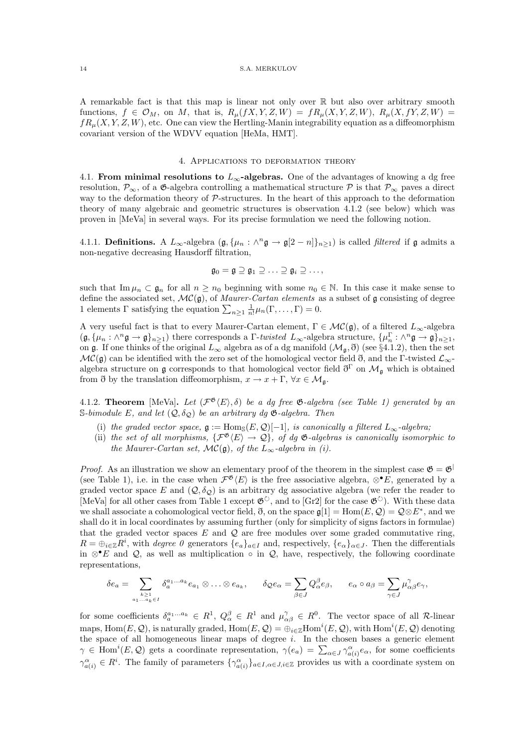A remarkable fact is that this map is linear not only over R but also over arbitrary smooth functions,  $f \in \mathcal{O}_M$ , on M, that is,  $R_u(fX, Y, Z, W) = fR_u(X, Y, Z, W), R_u(X, fY, Z, W) =$  $fR_u(X, Y, Z, W)$ , etc. One can view the Hertling-Manin integrability equation as a diffeomorphism covariant version of the WDVV equation [HeMa, HMT].

## 4. Applications to deformation theory

4.1. From minimal resolutions to  $L_{\infty}$ -algebras. One of the advantages of knowing a dg free resolution,  $\mathcal{P}_{\infty}$ , of a  $\mathfrak{G}$ -algebra controlling a mathematical structure  $\mathcal{P}$  is that  $\mathcal{P}_{\infty}$  paves a direct way to the deformation theory of P-structures. In the heart of this approach to the deformation theory of many algebraic and geometric structures is observation 4.1.2 (see below) which was proven in [MeVa] in several ways. For its precise formulation we need the following notion.

4.1.1. **Definitions.** A  $L_{\infty}$ -algebra  $(\mathfrak{g}, {\mu_n : \wedge^n \mathfrak{g} \to \mathfrak{g}[2-n]}_{n \geq 1})$  is called *filtered* if  $\mathfrak{g}$  admits a non-negative decreasing Hausdorff filtration,

$$
\mathfrak{g}_0=\mathfrak{g}\supseteq\mathfrak{g}_1\supseteq\ldots\supseteq\mathfrak{g}_i\supseteq\ldots,
$$

such that  $\text{Im }\mu_n \subset \mathfrak{g}_n$  for all  $n \geq n_0$  beginning with some  $n_0 \in \mathbb{N}$ . In this case it make sense to define the associated set,  $MC(\mathfrak{g})$ , of *Maurer-Cartan elements* as a subset of  $\mathfrak{g}$  consisting of degree 1 elements  $\Gamma$  satisfying the equation  $\sum_{n\geq 1} \frac{1}{n!} \mu_n(\Gamma,\ldots,\Gamma) = 0$ .

A very useful fact is that to every Maurer-Cartan element,  $\Gamma \in \mathcal{MC}(\mathfrak{g})$ , of a filtered  $L_{\infty}$ -algebra  $(\mathfrak{g}, {\mu_n : \wedge^n \mathfrak{g} \to \mathfrak{g}}_{n \geq 1})$  there corresponds a  $\Gamma$ -twisted  $L_{\infty}$ -algebra structure,  ${\mu_n^{\Gamma} : \wedge^n \mathfrak{g} \to \mathfrak{g}}_{n \geq 1}$ , on  $\mathfrak g$ . If one thinks of the original  $L_{\infty}$  algebra as of a dg manifold  $(\mathcal{M}_{\mathfrak g}, \mathfrak d)$  (see §4.1.2), then the set  $\mathcal{MC}(\mathfrak{g})$  can be identified with the zero set of the homological vector field  $\mathfrak{d}$ , and the Γ-twisted  $\mathcal{L}_{\infty}$ algebra structure on g corresponds to that homological vector field  $\mathfrak{d}^{\Gamma}$  on  $\mathcal{M}_{\mathfrak{g}}$  which is obtained from  $\eth$  by the translation diffeomorphism,  $x \to x + \Gamma$ ,  $\forall x \in \mathcal{M}_{\mathfrak{g}}$ .

4.1.2. Theorem [MeVa]. Let  $(\mathcal{F}^{\mathfrak{G}}(E), \delta)$  be a dg free  $\mathfrak{G}$ -algebra (see Table 1) generated by an S-bimodule E, and let  $(Q, \delta_Q)$  be an arbitrary dg  $\mathfrak{G}$ -algebra. Then

- (i) the graded vector space,  $\mathfrak{g} := \text{Hom}_{\mathbb{S}}(E, \mathcal{Q})[-1]$ , is canonically a filtered  $L_{\infty}$ -algebra;
- (ii) the set of all morphisms,  $\{\mathcal{F}^{\mathfrak{G}}(E) \to \mathcal{Q}\}\$ , of dg  $\mathfrak{G}$ -algebras is canonically isomorphic to the Maurer-Cartan set,  $\mathcal{MC}(\mathfrak{g})$ , of the  $L_{\infty}$ -algebra in (i).

*Proof.* As an illustration we show an elementary proof of the theorem in the simplest case  $\mathfrak{G} = \mathfrak{G}^{\dagger}$ (see Table 1), i.e. in the case when  $\mathcal{F}^{\mathfrak{G}}\langle E \rangle$  is the free associative algebra, ⊗•E, generated by a graded vector space E and  $(Q, \delta_Q)$  is an arbitrary dg associative algebra (we refer the reader to [MeVa] for all other cases from Table 1 except  $\mathfrak{G}^{\circlearrowright}$ , and to [Gr2] for the case  $\mathfrak{G}^{\circlearrowright}$ ). With these data we shall associate a cohomological vector field,  $\eth$ , on the space  $\mathfrak{g}[1] = \text{Hom}(E, \mathcal{Q}) = \mathcal{Q} \otimes E^*$ , and we shall do it in local coordinates by assuming further (only for simplicity of signs factors in formulae) that the graded vector spaces  $E$  and  $Q$  are free modules over some graded commutative ring,  $R = \bigoplus_{i \in \mathbb{Z}} R^i$ , with *degree* 0 generators  $\{e_a\}_{a \in I}$  and, respectively,  $\{e_\alpha\}_{\alpha \in J}$ . Then the differentials in ⊗•E and Q, as well as multiplication  $\circ$  in Q, have, respectively, the following coordinate representations,

$$
\delta e_a = \sum_{\substack{k \geq 1 \\ a_1 \dots a_k \in I}} \delta_a^{a_1 \dots a_k} e_{a_1} \otimes \dots \otimes e_{a_k}, \qquad \delta_{\mathcal{Q}} e_{\alpha} = \sum_{\beta \in J} Q_{\alpha}^{\beta} e_{\beta}, \qquad e_{\alpha} \circ a_{\beta} = \sum_{\gamma \in J} \mu_{\alpha \beta}^{\gamma} e_{\gamma},
$$

for some coefficients  $\delta_a^{a_1...a_k} \in R^1$ ,  $Q_{\alpha}^{\beta} \in R^1$  and  $\mu_{\alpha\beta}^{\gamma} \in R^0$ . The vector space of all R-linear maps, Hom $(E, \mathcal{Q})$ , is naturally graded,  $Hom(E, \mathcal{Q}) = \bigoplus_{i \in \mathbb{Z}} Hom^i(E, \mathcal{Q})$ , with  $Hom^i(E, \mathcal{Q})$  denoting the space of all homogeneous linear maps of degree i. In the chosen bases a generic element  $\gamma \in \text{Hom}^i(E, \mathcal{Q})$  gets a coordinate representation,  $\gamma(e_a) = \sum_{\alpha \in J} \gamma^{\alpha}_{a(i)} e_{\alpha}$ , for some coefficients  $\gamma_{a(i)}^{\alpha} \in R^i$ . The family of parameters  $\{\gamma_{a(i)}^{\alpha}\}_{a \in I, \alpha \in J, i \in \mathbb{Z}}$  provides us with a coordinate system on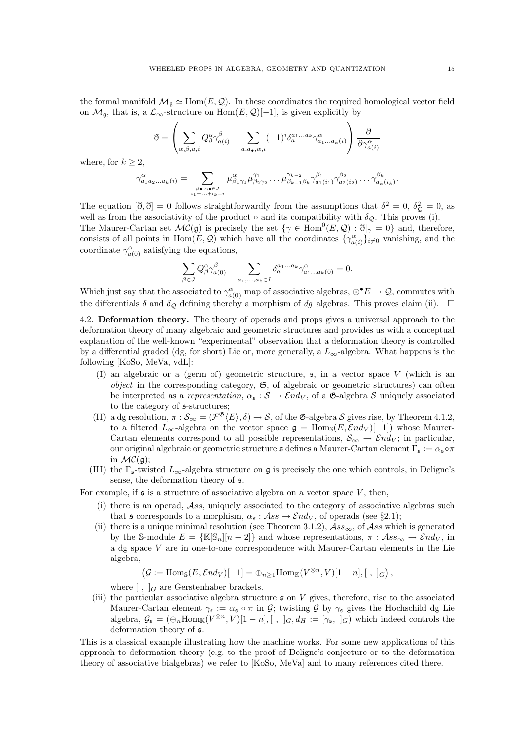the formal manifold  $\mathcal{M}_{\mathfrak{g}} \simeq \text{Hom}(E, \mathcal{Q})$ . In these coordinates the required homological vector field on  $\mathcal{M}_{\mathfrak{a}}$ , that is, a  $\mathcal{L}_{\infty}$ -structure on Hom $(E, \mathcal{Q})[-1]$ , is given explicitly by

$$
\vec{\sigma} = \left(\sum_{\alpha,\beta,a,i} Q^{\alpha}_{\beta} \gamma^{\beta}_{a(i)} - \sum_{a,a_{\bullet},\alpha,i} (-1)^{i} \delta^{a_{1}...a_{k}}_{a} \gamma^{\alpha}_{a_{1}...a_{k}(i)}\right) \frac{\partial}{\partial \gamma^{\alpha}_{a(i)}}
$$

where, for  $k > 2$ ,

$$
\gamma_{a_1a_2\ldots a_k(i)}^{\alpha} = \sum_{\substack{\beta \bullet, \gamma \bullet \in J \\ i_1 + \ldots + i_k = i}} \mu_{\beta_1\gamma_1}^{\alpha} \mu_{\beta_2\gamma_2}^{\gamma_1} \ldots \mu_{\beta_{k-1}\beta_k}^{\gamma_{k-2}} \gamma_{a_1(i_1)}^{\beta_1} \gamma_{a_2(i_2)}^{\beta_2} \ldots \gamma_{a_k(i_k)}^{\beta_k}.
$$

The equation  $[\mathfrak{d}, \mathfrak{d}] = 0$  follows straightforwardly from the assumptions that  $\delta^2 = 0$ ,  $\delta_{\mathcal{Q}}^2 = 0$ , as well as from the associativity of the product  $\circ$  and its compatibility with  $\delta_{\mathcal{Q}}$ . This proves (i). The Maurer-Cartan set  $\mathcal{MC}(\mathfrak{g})$  is precisely the set  $\{\gamma \in \text{Hom}^0(E, \mathcal{Q}) : \mathfrak{d}|_{\gamma} = 0\}$  and, therefore, consists of all points in  $Hom(E, \mathcal{Q})$  which have all the coordinates  $\{\gamma_{a(i)}^{\alpha}\}_{i\neq0}$  vanishing, and the coordinate  $\gamma_{a(0)}^{\alpha}$  satisfying the equations,

$$
\sum_{\beta\in J}Q^\alpha_\beta\gamma^\beta_{a(0)}-\sum_{a_1,...,a_k\in I}\delta_a^{a_1...a_k}\gamma^\alpha_{a_1...a_k(0)}=0.
$$

Which just say that the associated to  $\gamma_{a(0)}^{\alpha}$  map of associative algebras,  $\odot^{\bullet} E \to \mathcal{Q}$ , commutes with the differentials  $\delta$  and  $\delta_Q$  defining thereby a morphism of dg algebras. This proves claim (ii).  $\Box$ 

4.2. Deformation theory. The theory of operads and props gives a universal approach to the deformation theory of many algebraic and geometric structures and provides us with a conceptual explanation of the well-known "experimental" observation that a deformation theory is controlled by a differential graded (dg, for short) Lie or, more generally, a  $L_{\infty}$ -algebra. What happens is the following [KoSo, MeVa, vdL]:

- (I) an algebraic or a (germ of) geometric structure,  $\mathfrak{s}$ , in a vector space V (which is an object in the corresponding category,  $\mathfrak{S}$ , of algebraic or geometric structures) can often be interpreted as a representation,  $\alpha_s : \mathcal{S} \to \mathcal{E} nd_V$ , of a  $\mathfrak{G}$ -algebra S uniquely associated to the category of s-structures;
- (II) a dg resolution,  $\pi : \mathcal{S}_{\infty} = (\mathcal{F}^{\mathfrak{G}} \langle E \rangle, \delta) \to \mathcal{S}$ , of the  $\mathfrak{G}$ -algebra  $\mathcal{S}$  gives rise, by Theorem 4.1.2, to a filtered  $L_{\infty}$ -algebra on the vector space  $\mathfrak{g} = \text{Hom}_{\mathbb{S}}(E, \mathcal{E}nd_V)[-1]$ ) whose Maurer-Cartan elements correspond to all possible representations,  $S_{\infty} \to \mathcal{E}nd_V$ ; in particular, our original algebraic or geometric structure  $\mathfrak s$  defines a Maurer-Cartan element  $\Gamma_{\mathfrak s} := \alpha_{\mathfrak s} \circ \pi$ in  $\mathcal{MC}(\mathfrak{g});$
- (III) the  $\Gamma_{\mathfrak{s}}$ -twisted  $L_{\infty}$ -algebra structure on g is precisely the one which controls, in Deligne's sense, the deformation theory of s.

For example, if  $\mathfrak s$  is a structure of associative algebra on a vector space V, then,

- (i) there is an operad,  $\mathcal{A}ss$ , uniquely associated to the category of associative algebras such that s corresponds to a morphism,  $\alpha_s : \mathcal{A}ss \to \mathcal{E}nd_V$ , of operads (see §2.1);
- (ii) there is a unique minimal resolution (see Theorem 3.1.2),  $\mathcal{A}ss_{\infty}$ , of  $\mathcal{A}ss$  which is generated by the S-module  $E = {\mathbb{K}}[S_n][n-2]$  and whose representations,  $\pi : \mathcal{A}ss_{\infty} \to \mathcal{E}nd_V$ , in a dg space  $V$  are in one-to-one correspondence with Maurer-Cartan elements in the Lie algebra,

$$
(\mathcal{G}:=\mathrm{Hom}_{\mathbb{S}}(E,\mathcal{E}nd_V)[-1]=\oplus_{n\geq 1}\mathrm{Hom}_{\mathbb{K}}(V^{\otimes n},V)[1-n],[\ ,\ ]_G),
$$

where  $\left[\right, \left.\right]_G$  are Gerstenhaber brackets.

(iii) the particular associative algebra structure  $\mathfrak s$  on V gives, therefore, rise to the associated Maurer-Cartan element  $\gamma_{\mathfrak{s}} := \alpha_{\mathfrak{s}} \circ \pi$  in G; twisting G by  $\gamma_{\mathfrak{s}}$  gives the Hochschild dg Lie algebra,  $\mathcal{G}_{\mathfrak{s}} = (\bigoplus_n \text{Hom}_{\mathbb{K}}(V^{\otimes n}, V)[1-n], [ , ]_G, d_H := [\gamma_{\mathfrak{s}}, ]_G)$  which indeed controls the deformation theory of s.

This is a classical example illustrating how the machine works. For some new applications of this approach to deformation theory (e.g. to the proof of Deligne's conjecture or to the deformation theory of associative bialgebras) we refer to [KoSo, MeVa] and to many references cited there.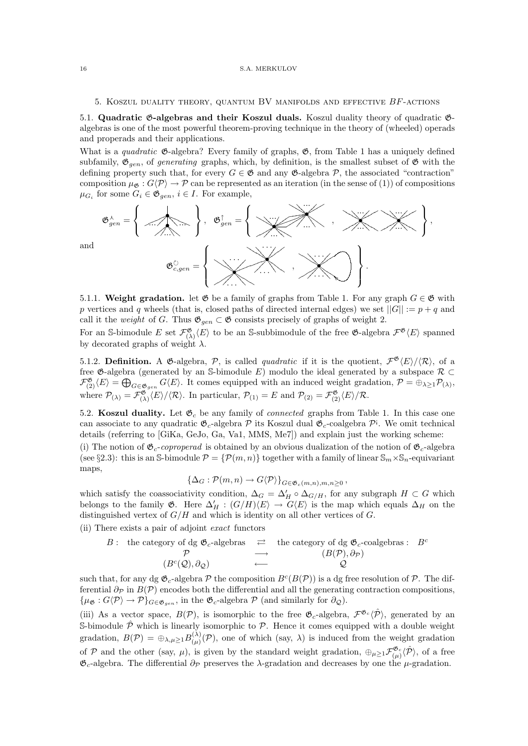## 5. KOSZUL DUALITY THEORY, QUANTUM BV MANIFOLDS AND EFFECTIVE  $BF$ -ACTIONS

5.1. Quadratic G-algebras and their Koszul duals. Koszul duality theory of quadratic Galgebras is one of the most powerful theorem-proving technique in the theory of (wheeled) operads and properads and their applications.

What is a *quadratic*  $\mathfrak{G}\text{-algebra?}$  Every family of graphs,  $\mathfrak{G}$ , from Table 1 has a uniquely defined subfamily,  $\mathfrak{G}_{gen}$ , of *generating* graphs, which, by definition, is the smallest subset of  $\mathfrak{G}$  with the defining property such that, for every  $G \in \mathfrak{G}$  and any  $\mathfrak{G}\text{-algebra } \mathcal{P}$ , the associated "contraction" composition  $\mu_{\mathfrak{G}} : G(\mathcal{P}) \to \mathcal{P}$  can be represented as an iteration (in the sense of (1)) of compositions  $\mu_{G_i}$  for some  $G_i \in \mathfrak{G}_{gen}$ ,  $i \in I$ . For example,



5.1.1. Weight gradation. let  $\mathfrak G$  be a family of graphs from Table 1. For any graph  $G \in \mathfrak G$  with p vertices and q wheels (that is, closed paths of directed internal edges) we set  $||G|| := p + q$  and call it the *weight* of G. Thus  $\mathfrak{G}_{gen} \subset \mathfrak{G}$  consists precisely of graphs of weight 2.

For an S-bimodule E set  $\mathcal{F}^{\mathfrak{G}}_{(\lambda)}\langle E \rangle$  to be an S-subbimodule of the free  $\mathfrak{G}$ -algebra  $\mathcal{F}^{\mathfrak{G}}\langle E \rangle$  spanned by decorated graphs of weight  $\lambda$ .

5.1.2. Definition. A G-algebra, P, is called *quadratic* if it is the quotient,  $\mathcal{F}^{\mathfrak{G}}\langle E\rangle/\langle R\rangle$ , of a free  $\mathfrak{G}\text{-algebra}$  (generated by an S-bimodule E) modulo the ideal generated by a subspace  $\mathcal{R} \subset$  $\mathcal{F}^{\mathfrak{G}}_{(2)}\langle E\rangle = \bigoplus_{G\in\mathfrak{G}_{gen}} G\langle E\rangle$ . It comes equipped with an induced weight gradation,  $\mathcal{P} = \bigoplus_{\lambda\geq 1} \mathcal{P}_{(\lambda)},$ where  $\mathcal{P}_{(\lambda)} = \mathcal{F}^{\mathfrak{G}}_{(\lambda)} \langle E \rangle / \langle \mathcal{R} \rangle$ . In particular,  $\mathcal{P}_{(1)} = E$  and  $\mathcal{P}_{(2)} = \mathcal{F}^{\mathfrak{G}}_{(2)} \langle E \rangle / \mathcal{R}$ .

5.2. Koszul duality. Let  $\mathfrak{G}_c$  be any family of *connected* graphs from Table 1. In this case one can associate to any quadratic  $\mathfrak{G}_c$ -algebra  $\mathcal P$  its Koszul dual  $\mathfrak{G}_c$ -coalgebra  $\mathcal P^i$ . We omit technical details (referring to [GiKa, GeJo, Ga, Va1, MMS, Me7]) and explain just the working scheme: (i) The notion of  $\mathfrak{G}_c$ -coproperad is obtained by an obvious dualization of the notion of  $\mathfrak{G}_c$ -algebra

(see §2.3): this is an S-bimodule  $\mathcal{P} = \{\mathcal{P}(m,n)\}\$  together with a family of linear  $\mathbb{S}_m \times \mathbb{S}_n$ -equivariant maps,

$$
\left\{\Delta_G:\mathcal{P}(m,n)\to G\langle\mathcal{P}\rangle\right\}_{G\in\mathfrak{G}_c(m,n),m,n\geq 0},\
$$

which satisfy the coassociativity condition,  $\Delta_G = \Delta'_H \circ \Delta_{G/H}$ , for any subgraph  $H \subset G$  which belongs to the family  $\mathfrak{G}$ . Here  $\Delta'_H$ :  $(G/H)\langle E\rangle \to G\langle E\rangle$  is the map which equals  $\Delta_H$  on the distinguished vertex of  $G/H$  and which is identity on all other vertices of  $G$ .

(ii) There exists a pair of adjoint exact functors

B: the category of dg 
$$
\mathfrak{G}_c
$$
-algebras  $\rightleftarrows$  the category of dg  $\mathfrak{G}_c$ -coalgebras:  $B^c$   
 $\longrightarrow$   $(B(\mathcal{P}), \partial_{\mathcal{P}})$   
 $(B^c(\mathcal{Q}), \partial_{\mathcal{Q}})$   $\longleftarrow$   $\square$   $\mathcal{Q}$ 

such that, for any dg  $\mathfrak{G}_c$ -algebra  $\mathcal P$  the composition  $B^c(B(\mathcal P))$  is a dg free resolution of  $\mathcal P$ . The differential  $\partial_{\mathcal{P}}$  in  $B(\mathcal{P})$  encodes both the differential and all the generating contraction compositions,  $\{\mu_{\mathfrak{G}}: G\langle \mathcal{P}\rangle \to \mathcal{P}\}_{G\in \mathfrak{G}_{gen}}$ , in the  $\mathfrak{G}_c$ -algebra  $\mathcal{P}$  (and similarly for  $\partial_{\mathcal{Q}}$ ).

(iii) As a vector space,  $B(\mathcal{P})$ , is isomorphic to the free  $\mathfrak{G}_c$ -algebra,  $\mathcal{F}^{\mathfrak{G}_c}(\hat{\mathcal{P}})$ , generated by an S-bimodule  $\hat{\mathcal{P}}$  which is linearly isomorphic to  $\mathcal{P}$ . Hence it comes equipped with a double weight gradation,  $B(\mathcal{P}) = \bigoplus_{\lambda,\mu \geq 1} B_{(\mu)}^{(\lambda)}$  $\binom{(\lambda)}{(\mu)}(\mathcal{P})$ , one of which (say,  $\lambda$ ) is induced from the weight gradation of P and the other (say,  $\mu$ ), is given by the standard weight gradation,  $\oplus_{\mu\geq 1} \mathcal{F}^{\mathfrak{G}_c}_{(\mu)}\langle\hat{\mathcal{P}}\rangle$ , of a free  $\mathfrak{G}_c$ -algebra. The differential  $\partial_{\mathcal{P}}$  preserves the  $\lambda$ -gradation and decreases by one the  $\mu$ -gradation.

and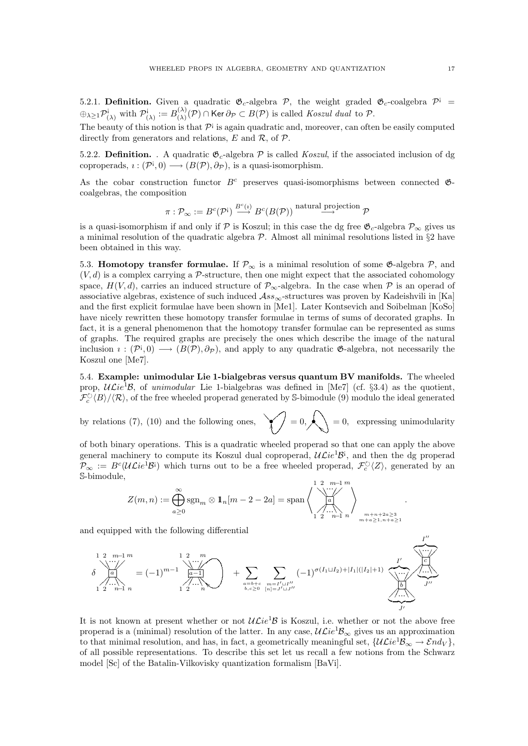5.2.1. Definition. Given a quadratic  $\mathfrak{G}_c$ -algebra  $\mathcal{P}$ , the weight graded  $\mathfrak{G}_c$ -coalgebra  $\mathcal{P}^{\dagger}$  =  $\oplus_{\lambda \geq 1} \mathcal{P}_{(\lambda)}^{\mathfrak{i}}$  with  $\mathcal{P}_{(\lambda)}^{\mathfrak{i}}$  $\alpha^{i}_{(\lambda)} := B^{(\lambda)}_{(\lambda)}$  $\mathcal{L}^{(\lambda)}_{(\lambda)}(\mathcal{P}) \cap \text{Ker } \partial_{\mathcal{P}} \subset B(\mathcal{P})$  is called Koszul dual to  $\mathcal{P}.$ 

The beauty of this notion is that  $\mathcal{P}^{\dagger}$  is again quadratic and, moreover, can often be easily computed directly from generators and relations,  $E$  and  $\mathcal{R}$ , of  $\mathcal{P}$ .

5.2.2. **Definition.** A quadratic  $\mathfrak{G}_c$ -algebra  $\mathcal P$  is called *Koszul*, if the associated inclusion of dg coproperads,  $\iota : (\mathcal{P}^{\mathsf{i}}, 0) \longrightarrow (B(\mathcal{P}), \partial_{\mathcal{P}})$ , is a quasi-isomorphism.

As the cobar construction functor  $B<sup>c</sup>$  preserves quasi-isomorphisms between connected  $\mathfrak{G}$ coalgebras, the composition

$$
\pi: \mathcal{P}_{\infty} := B^c(\mathcal{P}^{\mathsf{i}}) \stackrel{B^c(\imath)}{\longrightarrow} B^c(B(\mathcal{P})) \stackrel{\text{natural projection}}{\longrightarrow} \mathcal{P}
$$

is a quasi-isomorphism if and only if  $\mathcal P$  is Koszul; in this case the dg free  $\mathfrak{G}_c$ -algebra  $\mathcal P_\infty$  gives us a minimal resolution of the quadratic algebra  $P$ . Almost all minimal resolutions listed in §2 have been obtained in this way.

5.3. Homotopy transfer formulae. If  $\mathcal{P}_{\infty}$  is a minimal resolution of some  $\mathfrak{G}$ -algebra  $\mathcal{P}$ , and  $(V, d)$  is a complex carrying a P-structure, then one might expect that the associated cohomology space,  $H(V, d)$ , carries an induced structure of  $\mathcal{P}_{\infty}$ -algebra. In the case when P is an operad of associative algebras, existence of such induced  $\mathcal{A}ss_{\infty}$ -structures was proven by Kadeishvili in [Ka] and the first explicit formulae have been shown in [Me1]. Later Kontsevich and Soibelman [KoSo] have nicely rewritten these homotopy transfer formulae in terms of sums of decorated graphs. In fact, it is a general phenomenon that the homotopy transfer formulae can be represented as sums of graphs. The required graphs are precisely the ones which describe the image of the natural inclusion  $\iota : (\mathcal{P}^{\mathfrak{i}},0) \longrightarrow (B(\mathcal{P}),\partial_{\mathcal{P}})$ , and apply to any quadratic  $\mathfrak{G}\text{-algebra}$ , not necessarily the Koszul one [Me7].

5.4. Example: unimodular Lie 1-bialgebras versus quantum BV manifolds. The wheeled prop,  $\mathcal{UL}ie^{1}B$ , of unimodular Lie 1-bialgebras was defined in [Me7] (cf. §3.4) as the quotient,  $\mathcal{F}_c^{\circlearrowright}(B)/\langle \mathcal{R} \rangle$ , of the free wheeled properad generated by S-bimodule (9) modulo the ideal generated

by relations (7), (10) and the following ones,  $\bigvee_{n=0}^{\infty} 0$ , expressing unimodularity

of both binary operations. This is a quadratic wheeled properad so that one can apply the above general machinery to compute its Koszul dual coproperad,  $\mathcal{UL}ie^{1}B^{i}$ , and then the dg properad  $\mathcal{P}_{\infty} := B^{c}(\mathcal{UL}ie^{\mathbf{i}}\mathcal{B}^{\mathbf{i}})$  which turns out to be a free wheeled properad,  $\mathcal{F}_{c}^{\circlearrowright}\langle Z\rangle$ , generated by an S-bimodule,

$$
Z(m,n) := \bigoplus_{a\geq 0}^{\infty} \text{sgn}_m \otimes \mathbb{1}_n[m-2-2a] = \text{span}\left\{\left\{\bigoplus_{a=0}^{1\ 2\ \frac{m-1}{a}}\right\}_{m+n}^{m}\right\}_{m+n+2a\geq 3\atop m+a\geq 1,n+a\geq 1}.
$$

and equipped with the following differential

$$
\delta \begin{array}{c}\n1 \, 2 \, \ldots \\
\vdots \\
\delta\n\end{array}\n\begin{array}{c}\n1 \, 2 \, \ldots \\
\vdots \\
\delta\n\end{array}\n\end{array}\n= (-1)^{m-1} \begin{array}{c}\n1 \, 2 \, \ldots \\
\vdots \\
\delta\n\end{array}\n\begin{array}{c}\n\ldots \\
\delta\n\end{array}\n\end{array}\n\begin{array}{c}\n\lambda \, \ldots \\
\lambda \, \ldots \\
\lambda \, \ldots \\
\lambda \, \ldots \\
\lambda \, \ldots \\
\lambda \, \ldots \\
\lambda \, \ldots \\
\lambda \, \ldots \\
\lambda \, \ldots \\
\lambda \, \ldots \\
\lambda \, \ldots \\
\lambda \, \ldots \\
\lambda \, \ldots \\
\lambda \, \ldots \\
\lambda \, \ldots \\
\lambda \, \ldots \\
\lambda \, \ldots \\
\lambda \, \ldots \\
\lambda \, \ldots \\
\lambda \, \ldots \\
\lambda \, \ldots \\
\lambda \, \ldots \\
\lambda \, \ldots \\
\lambda \, \ldots \\
\lambda \, \ldots \\
\lambda \, \ldots \\
\lambda \, \ldots \\
\lambda \, \ldots \\
\lambda \, \ldots \\
\lambda \, \ldots \\
\lambda \, \ldots \\
\lambda \, \ldots \\
\lambda \, \ldots \\
\lambda \, \ldots \\
\lambda \, \ldots \\
\lambda \, \ldots \\
\lambda \, \ldots \\
\lambda \, \ldots \\
\lambda \, \ldots \\
\lambda \, \ldots \\
\lambda \, \ldots \\
\lambda \, \ldots \\
\lambda \, \ldots \\
\lambda \, \ldots \\
\lambda \, \ldots \\
\lambda \, \ldots \\
\lambda \, \ldots \\
\lambda \, \ldots \\
\lambda \, \ldots \\
\lambda \, \ldots \\
\lambda \, \ldots \\
\lambda \, \ldots \\
\lambda \, \ldots \\
\lambda \, \ldots \\
\lambda \, \ldots \\
\lambda \, \ldots \\
\lambda \, \ldots \\
\lambda \, \ldots \\
\lambda \, \ldots \\
\lambda \, \ldots \\
\lambda \, \ldots \\
\lambda \, \ldots \\
\lambda \, \ldots \\
\lambda \, \ldots \\
\lambda \, \ldots \\
\lambda \, \ldots \\
\lambda \, \ldots \\
\lambda \, \ldots \\
\lambda \, \ldots \\
\lambda \, \ldots \\
\lambda \, \ldots \\
\lambda \, \ldots \\
\lambda \, \ldots \\
\lambda \, \ldots \\
\lambda \, \ldots \\
\lambda \, \ldots \\
\lambda \,
$$

It is not known at present whether or not  $\mathcal{UL}ie^{1}\mathcal{B}$  is Koszul, i.e. whether or not the above free properad is a (minimal) resolution of the latter. In any case,  $\mathcal{UL}ie^{1}B_{\infty}$  gives us an approximation to that minimal resolution, and has, in fact, a geometrically meaningful set,  $\{\mathcal{UL}ie^{1}B_{\infty} \to \mathcal{E}nd_{V}\},\$ of all possible representations. To describe this set let us recall a few notions from the Schwarz model [Sc] of the Batalin-Vilkovisky quantization formalism [BaVi].

 $I^{\prime}$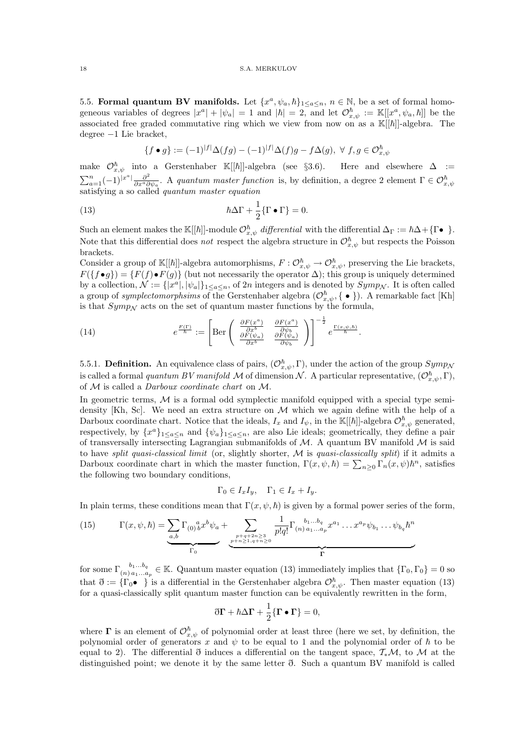5.5. Formal quantum BV manifolds. Let  $\{x^a, \psi_a, \hbar\}_{1 \leq a \leq n}$ ,  $n \in \mathbb{N}$ , be a set of formal homogeneous variables of degrees  $|x^a| + |\psi_a| = 1$  and  $|\hbar| = 2$ , and let  $\mathcal{O}_{x,\psi}^{\hbar} := \mathbb{K}[[x^a, \psi_a, \hbar]]$  be the associated free graded commutative ring which we view from now on as a  $\mathbb{K}[[\hbar]]$ -algebra. The degree −1 Lie bracket,

$$
\{f \bullet g\} := (-1)^{|f|} \Delta(fg) - (-1)^{|f|} \Delta(f)g - f\Delta(g), \ \forall \ f, g \in \mathcal{O}_{x,\psi}^{\hbar}
$$

make  $\mathcal{O}_{x,\psi}^{\hbar}$  into a Gerstenhaber K[[ $\hbar$ ]]-algebra (see §3.6). Here and elsewhere  $\Delta :=$  $\sum_{a=1}^n (-1)^{|x^a|} \frac{\partial^2}{\partial x^a \partial x^b}$  $\sum_{a=1}^{n} (-1)^{|x^a|} \frac{\partial^2}{\partial x^a \partial \psi_a}$ . A quantum master function is, by definition, a degree 2 element  $\Gamma \in \mathcal{O}_{x,\psi}^{\hbar}$  satisfying a so called quantum master equation

(13) 
$$
\hbar \Delta \Gamma + \frac{1}{2} \{ \Gamma \bullet \Gamma \} = 0.
$$

Such an element makes the K[[ $\hbar$ ]]-module  $\mathcal{O}_{x,\psi}^{\hbar}$  differential with the differential  $\Delta_{\Gamma} := \hbar \Delta + {\Gamma \bullet \atop \Gamma}$ . Note that this differential does not respect the algebra structure in  $\mathcal{O}_{x,\psi}^{\hbar}$  but respects the Poisson brackets.

Consider a group of  $\mathbb{K}[[\hbar]]$ -algebra automorphisms,  $F: \mathcal{O}_{x,\psi}^{\hbar} \to \mathcal{O}_{x,\psi}^{\hbar}$ , preserving the Lie brackets,  $F({f \bullet g}) = {F(f) \bullet F(g)}$  (but not necessarily the operator  $\Delta$ ); this group is uniquely determined by a collection,  $\mathcal{N} := \{|x^a|, |\psi_a|\}_{1 \le a \le n}$ , of  $2n$  integers and is denoted by  $Symp_{\mathcal{N}}$ . It is often called a group of *symplectomorphsims* of the Gerstenhaber algebra  $(\mathcal{O}_{x,\psi}^{\hbar}, \{\cdot\})$ . A remarkable fact [Kh] is that  $Symp<sub>N</sub>$  acts on the set of quantum master functions by the formula,

(14) 
$$
e^{\frac{F(\Gamma)}{\hbar}} := \left[ \text{Ber}\left( \begin{array}{cc} \frac{\partial F(x^a)}{\partial x^b} & \frac{\partial F(x^a)}{\partial \psi_b} \\ \frac{\partial F(\psi_a)}{\partial x^b} & \frac{\partial F(\psi_a)}{\partial \psi_b} \end{array} \right) \right]^{-\frac{1}{2}} e^{\frac{\Gamma(x,\psi,\hbar)}{\hbar}}.
$$

5.5.1. **Definition.** An equivalence class of pairs,  $(\mathcal{O}_{x,\psi}^{\hbar}, \Gamma)$ , under the action of the group  $Symp_{\mathcal{N}}$ is called a formal quantum BV manifold M of dimension N. A particular representative,  $(\mathcal{O}_{x,\psi}^{\hbar},\Gamma)$ , of M is called a Darboux coordinate chart on M.

In geometric terms,  $M$  is a formal odd symplectic manifold equipped with a special type semidensity [Kh, Sc]. We need an extra structure on  $M$  which we again define with the help of a Darboux coordinate chart. Notice that the ideals,  $I_x$  and  $I_{\psi}$ , in the K[[h]]-algebra  $\mathcal{O}_{x,\psi}^{\hbar}$  generated, respectively, by  $\{x^a\}_{1\leq a\leq n}$  and  $\{\psi_a\}_{1\leq a\leq n}$ , are also Lie ideals; geometrically, they define a pair of transversally intersecting Lagrangian submanifolds of  $M$ . A quantum BV manifold  $M$  is said to have split quasi-classical limit (or, slightly shorter,  $M$  is quasi-classically split) if it admits a Darboux coordinate chart in which the master function,  $\Gamma(x, \psi, \hbar) = \sum_{n\geq 0} \Gamma_n(x, \psi) \hbar^n$ , satisfies the following two boundary conditions,

$$
\Gamma_0 \in I_x I_y, \quad \Gamma_1 \in I_x + I_y.
$$

In plain terms, these conditions mean that  $\Gamma(x, \psi, \hbar)$  is given by a formal power series of the form,

(15) 
$$
\Gamma(x, \psi, \hbar) = \underbrace{\sum_{a,b} \Gamma_{(0)}{}^a_b x^b \psi_a}_{\Gamma_0} + \underbrace{\sum_{p+q+2n\geq 3 \atop p+n\geq 1, q+n\geq 0} \frac{1}{p!q!} \Gamma_{(n) a_1...a_p}{}^{b_1...b_q} x^{a_1} \dots x^{a_p} \psi_{b_1} \dots \psi_{b_q} \hbar^n}_{\Gamma}
$$

for some  $\Gamma_{(n)}^{b_1...b_q} \in \mathbb{K}$ . Quantum master equation (13) immediately implies that  $\{\Gamma_0, \Gamma_0\} = 0$  so that  $\mathfrak{d} := \{ \Gamma_0 \bullet \}$  is a differential in the Gerstenhaber algebra  $\mathcal{O}_{x,\psi}^{\hbar}$ . Then master equation (13) for a quasi-classically split quantum master function can be equivalently rewritten in the form,

$$
\eth \Gamma + \hbar \Delta \Gamma + \frac{1}{2} \{ \Gamma \bullet \Gamma \} = 0,
$$

where  $\Gamma$  is an element of  $\mathcal{O}_{x,\psi}^{\hbar}$  of polynomial order at least three (here we set, by definition, the polynomial order of generators x and  $\psi$  to be equal to 1 and the polynomial order of  $\hbar$  to be equal to 2). The differential  $\eth$  induces a differential on the tangent space,  $\mathcal{T}_*\mathcal{M}$ , to M at the distinguished point; we denote it by the same letter ð. Such a quantum BV manifold is called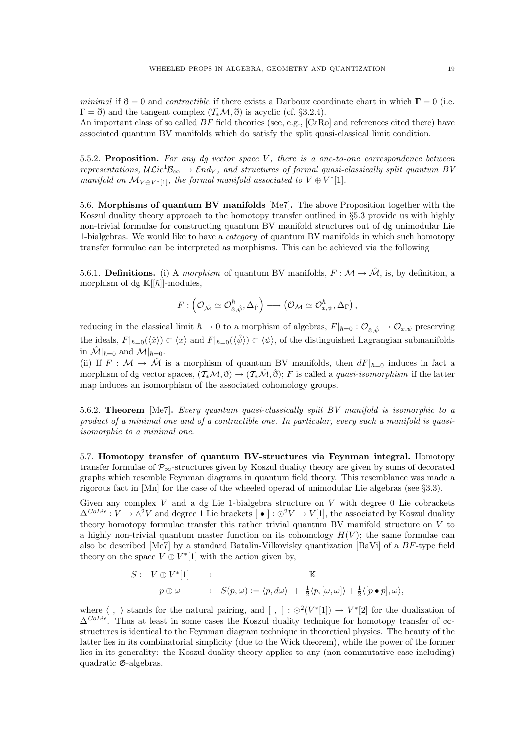minimal if  $\eth = 0$  and *contractible* if there exists a Darboux coordinate chart in which  $\Gamma = 0$  (i.e.  $\Gamma = \delta$ ) and the tangent complex  $(\mathcal{T}_*, \mathcal{M}, \delta)$  is acyclic (cf. §3.2.4).

An important class of so called  $BF$  field theories (see, e.g., [CaRo] and references cited there) have associated quantum BV manifolds which do satisfy the split quasi-classical limit condition.

5.5.2. Proposition. For any dq vector space  $V$ , there is a one-to-one correspondence between representations,  $ULie^1B_{\infty} \to End_V$ , and structures of formal quasi-classically split quantum BV manifold on  $\mathcal{M}_{V \oplus V^{*}[1]}$ , the formal manifold associated to  $V \oplus V^{*}[1]$ .

5.6. Morphisms of quantum BV manifolds [Me7]. The above Proposition together with the Koszul duality theory approach to the homotopy transfer outlined in §5.3 provide us with highly non-trivial formulae for constructing quantum BV manifold structures out of dg unimodular Lie 1-bialgebras. We would like to have a category of quantum BV manifolds in which such homotopy transfer formulae can be interpreted as morphisms. This can be achieved via the following

5.6.1. **Definitions.** (i) A morphism of quantum BV manifolds,  $F : \mathcal{M} \to \hat{\mathcal{M}}$ , is, by definition, a morphism of dg  $\mathbb{K}[[\hbar]]$ -modules,

$$
F:\left(\mathcal{O}_{\hat{\mathcal{M}}} \simeq \mathcal{O}_{\hat{x},\hat{\psi}}^{\hbar},\Delta_{\hat{\Gamma}}\right) \longrightarrow \left(\mathcal{O}_{\mathcal{M}} \simeq \mathcal{O}_{x,\psi}^{\hbar},\Delta_{\Gamma}\right),\,
$$

reducing in the classical limit  $\hbar \to 0$  to a morphism of algebras,  $F|_{\hbar=0} : \mathcal{O}_{\hat{x}, \hat{\psi}} \to \mathcal{O}_{x, \psi}$  preserving the ideals,  $F|_{\hbar=0}(\langle \hat{x} \rangle) \subset \langle x \rangle$  and  $F|_{\hbar=0}(\langle \hat{\psi} \rangle) \subset \langle \psi \rangle$ , of the distinguished Lagrangian submanifolds in  $\mathcal{M}|_{\hbar=0}$  and  $\mathcal{M}|_{\hbar=0}$ .

(ii) If  $F : \mathcal{M} \to \hat{\mathcal{M}}$  is a morphism of quantum BV manifolds, then  $dF|_{\hbar=0}$  induces in fact a morphism of dg vector spaces,  $(\mathcal{T}_*\mathcal{M}, \mathfrak{F}) \to (\mathcal{T}_*\mathcal{M}, \mathfrak{F})$ ; F is called a quasi-isomorphism if the latter map induces an isomorphism of the associated cohomology groups.

5.6.2. Theorem [Me7]. Every quantum quasi-classically split BV manifold is isomorphic to a product of a minimal one and of a contractible one. In particular, every such a manifold is quasiisomorphic to a minimal one.

5.7. Homotopy transfer of quantum BV-structures via Feynman integral. Homotopy transfer formulae of  $\mathcal{P}_{\infty}$ -structures given by Koszul duality theory are given by sums of decorated graphs which resemble Feynman diagrams in quantum field theory. This resemblance was made a rigorous fact in [Mn] for the case of the wheeled operad of unimodular Lie algebras (see §3.3).

Given any complex  $V$  and a dg Lie 1-bialgebra structure on  $V$  with degree 0 Lie cobrackets  $\Delta^{Colie}: V \to \wedge^2 V$  and degree 1 Lie brackets  $\lceil \bullet \rceil : \odot^2 V \to V[1]$ , the associated by Koszul duality theory homotopy formulae transfer this rather trivial quantum BV manifold structure on V to a highly non-trivial quantum master function on its cohomology  $H(V)$ ; the same formulae can also be described [Me7] by a standard Batalin-Vilkovisky quantization [BaVi] of a BF-type field theory on the space  $V \oplus V^*[1]$  with the action given by,

$$
S: V \oplus V^*[1] \longrightarrow \mathbb{K}
$$
  

$$
p \oplus \omega \longrightarrow S(p,\omega) := \langle p, d\omega \rangle + \frac{1}{2} \langle p, [\omega, \omega] \rangle + \frac{1}{2} \langle [p \bullet p], \omega \rangle,
$$

where  $\langle , \rangle$  stands for the natural pairing, and  $[ , ] : \odot^2(V^*[1]) \rightarrow V^*[2]$  for the dualization of  $\Delta^{Colie}$ . Thus at least in some cases the Koszul duality technique for homotopy transfer of  $\infty$ structures is identical to the Feynman diagram technique in theoretical physics. The beauty of the latter lies in its combinatorial simplicity (due to the Wick theorem), while the power of the former lies in its generality: the Koszul duality theory applies to any (non-commutative case including) quadratic G-algebras.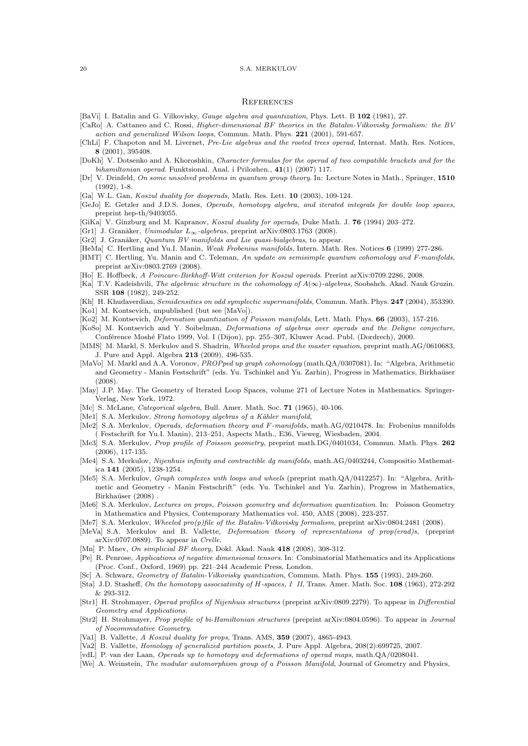### **REFERENCES**

- [BaVi] I. Batalin and G. Vilkovisky, Gauge algebra and quantization, Phys. Lett. B 102 (1981), 27.
- [CaRo] A. Cattaneo and C. Rossi, Higher-dimensional BF theories in the Batalin-Vilkovisky formalism: the BV action and generalized Wilson loops, Commun. Math. Phys. 221 (2001), 591-657.
- [ChLi] F. Chapoton and M. Livernet, Pre-Lie algebras and the rooted trees operad, Internat. Math. Res. Notices, 8 (2001), 395408.
- [DoKh] V. Dotsenko and A. Khoroshkin, Character formulas for the operad of two compatible brackets and for the bihamiltonian operad. Funktsional. Anal. i Prilozhen., 41(1) (2007) 117.
- [Dr] V. Drinfeld, On some unsolved problems in quantum group theory. In: Lecture Notes in Math., Springer, 1510 (1992), 1-8.
- [Ga] W.L. Gan, Koszul duality for dioperads, Math. Res. Lett. 10 (2003), 109-124.
- [GeJo] E. Getzler and J.D.S. Jones, Operads, homotopy algebra, and iterated integrals for double loop spaces, preprint hep-th/9403055.
- [GiKa] V. Ginzburg and M. Kapranov, Koszul duality for operads, Duke Math. J. 76 (1994) 203–272.
- [Gr1] J. Granåker, Unimodular  $L_{\infty}$ -algebras, preprint arXiv:0803.1763 (2008).
- $[Gr2]$  J. Granåker, Quantum BV manifolds and Lie quasi-bialgebras, to appear.
- [HeMa] C. Hertling and Yu.I. Manin, Weak Frobenius manifolds, Intern. Math. Res. Notices 6 (1999) 277-286.
- [HMT] C. Hertling, Yu. Manin and C. Teleman, An update on semisimple quantum cohomology and F-manifolds, preprint arXiv:0803.2769 (2008).
- [Ho] E. Hoffbeck, A Poincare-Birkhoff-Witt criterion for Koszul operads. Prerint arXiv:0709.2286, 2008.
- [Ka] T.V. Kadeishvili, The algebraic structure in the cohomology of  $A(\infty)$ -algebras, Soobshch. Akad. Nauk Gruzin. SSR 108 (1982), 249-252.
- [Kh] H. Khudaverdian, Semidensities on odd symplectic supermanifolds, Commun. Math. Phys. 247 (2004), 353390.
- [Ko1] M. Kontsevich, unpublished (but see [MaVo]).
- [Ko2] M. Kontsevich, Deformation quantization of Poisson manifolds, Lett. Math. Phys. 66 (2003), 157-216.
- [KoSo] M. Kontsevich and Y. Soibelman, Deformations of algebras over operads and the Deligne conjecture, Conférence Moshé Flato 1999, Vol. I (Dijon), pp. 255–307, Kluwer Acad. Publ. (Dordrech), 2000.
- [MMS] M. Markl, S. Merkulov and S. Shadrin, Wheeled props and the master equation, preprint math.AG/0610683, J. Pure and Appl. Algebra 213 (2009), 496-535.
- [MaVo] M. Markl and A.A. Voronov, PROPped up graph cohomology (math.QA/0307081). In: "Algebra, Arithmetic and Geometry - Manin Festschrift" (eds. Yu. Tschinkel and Yu. Zarhin), Progress in Mathematics, Birkhaüser (2008).
- [May] J.P. May. The Geometry of Iterated Loop Spaces, volume 271 of Lecture Notes in Mathematics. Springer-Verlag, New York, 1972.
- [Mc] S. McLane, Categorical algebra, Bull. Amer. Math. Soc. 71 (1965), 40-106.
- [Me1] S.A. Merkulov, Strong homotopy algebras of a Kähler manifold,
- [Me2] S.A. Merkulov, *Operads, deformation theory and F-manifolds*, math.AG/0210478. In: Frobenius manifolds ( Festschrift for Yu.I. Manin), 213–251, Aspects Math., E36, Vieweg, Wiesbaden, 2004.
- [Me3] S.A. Merkulov, Prop profile of Poisson geometry, preprint math.DG/0401034, Commun. Math. Phys. 262 (2006), 117-135.
- [Me4] S.A. Merkulov, Nijenhuis infinity and contractible dg manifolds, math.AG/0403244, Compositio Mathematica 141 (2005), 1238-1254.
- [Me5] S.A. Merkulov, Graph complexes with loops and wheels (preprint math.QA/0412257). In: "Algebra, Arithmetic and Geometry - Manin Festschrift" (eds. Yu. Tschinkel and Yu. Zarhin), Progress in Mathematics, Birkhaüser (2008).
- [Me6] S.A. Merkulov, Lectures on props, Poisson geometry and deformation quantization. In: Poisson Geometry in Mathematics and Physics, Contemporary Mathematics vol. 450, AMS (2008), 223-257.
- [Me7] S.A. Merkulov, Wheeled pro(p)file of the Batalin-Vilkovisky formalism, preprint arXiv:0804.2481 (2008).
- [MeVa] S.A. Merkulov and B. Vallette, Deformation theory of representations of prop(erad)s, (preprint arXiv:0707.0889). To appear in Crelle.
- [Mn] P. Mnev, On simplicial BF theory, Dokl. Akad. Nauk 418 (2008), 308-312.
- [Pe] R. Penrose, Applications of negative dimensional tensors. In: Combinatorial Mathematics and its Applications (Proc. Conf., Oxford, 1969) pp. 221–244 Academic Press, London.
- [Sc] A. Schwarz, Geometry of Batalin-Vilkovisky quantization, Commun. Math. Phys. 155 (1993), 249-260.
- [Sta] J.D. Stasheff, On the homotopy associativity of H-spaces, I II, Trans. Amer. Math. Soc. 108 (1963), 272-292 & 293-312.
- [Str1] H. Strohmayer, Operad profiles of Nijenhuis structures (preprint arXiv:0809.2279). To appear in Differential Geometry and Applications.
- [Str2] H. Strohmayer, Prop profile of bi-Hamiltonian structures (preprint arXiv:0804.0596). To appear in Journal of Nocommutative Geometry.
- [Va1] B. Vallette, A Koszul duality for props, Trans. AMS, 359 (2007), 4865-4943.
- [Va2] B. Vallette, Homology of generalized partition posets, J. Pure Appl. Algebra, 208(2):699725, 2007.
- [vdL] P. van der Laan, Operads up to homotopy and deformations of operad maps, math.QA/0208041.
- [We] A. Weinstein, The modular automorphism group of a Poisson Manifold, Journal of Geometry and Physics,